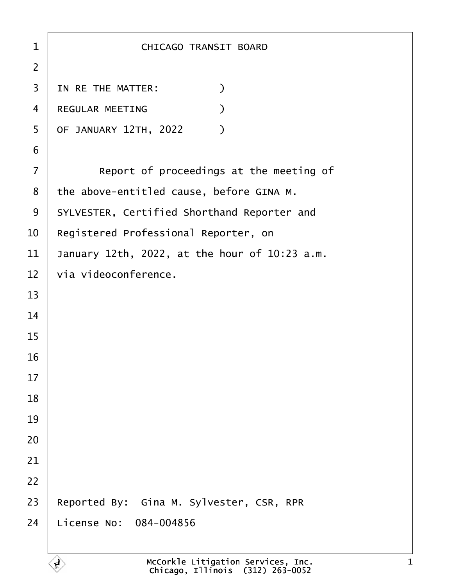| $\mathbf{1}$   | CHICAGO TRANSIT BOARD                         |
|----------------|-----------------------------------------------|
| $\overline{2}$ |                                               |
| 3              | $\mathcal{C}$<br>IN RE THE MATTER:            |
| 4              | $\mathcal{C}$<br>REGULAR MEETING              |
| 5              | OF JANUARY 12TH, 2022<br>$\mathcal{Y}$        |
| 6              |                                               |
| $\overline{7}$ | Report of proceedings at the meeting of       |
| 8              | the above-entitled cause, before GINA M.      |
| 9              | SYLVESTER, Certified Shorthand Reporter and   |
| 10             | Registered Professional Reporter, on          |
| 11             | January 12th, 2022, at the hour of 10:23 a.m. |
| 12             | via videoconference.                          |
| 13             |                                               |
| 14             |                                               |
| 15             |                                               |
| 16             |                                               |
| 17             |                                               |
| 18             |                                               |
| 19             |                                               |
| 20             |                                               |
| 21             |                                               |
| 22             |                                               |
| 23             | Reported By: Gina M. Sylvester, CSR, RPR      |
| 24             | License No: 084-004856                        |
|                |                                               |

 $\left\langle \begin{matrix} 1 \\ 1 \end{matrix} \right\rangle$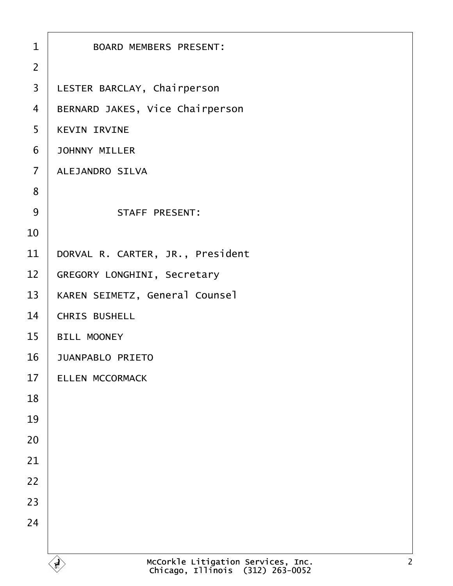| $\mathbf{1}$   | <b>BOARD MEMBERS PRESENT:</b>                                                          |
|----------------|----------------------------------------------------------------------------------------|
| $\overline{2}$ |                                                                                        |
| $\overline{3}$ | LESTER BARCLAY, Chairperson                                                            |
| $\overline{4}$ | BERNARD JAKES, Vice Chairperson                                                        |
| 5              | <b>KEVIN IRVINE</b>                                                                    |
|                |                                                                                        |
| 6              | <b>JOHNNY MILLER</b>                                                                   |
| $\overline{7}$ | ALEJANDRO SILVA                                                                        |
| 8              |                                                                                        |
| 9              | <b>STAFF PRESENT:</b>                                                                  |
| 10             |                                                                                        |
| 11             | DORVAL R. CARTER, JR., President                                                       |
| 12             | GREGORY LONGHINI, Secretary                                                            |
| 13             | KAREN SEIMETZ, General Counsel                                                         |
| 14             | CHRIS BUSHELL                                                                          |
| 15             | <b>BILL MOONEY</b>                                                                     |
| 16             | <b>JUANPABLO PRIETO</b>                                                                |
| 17             | ELLEN MCCORMACK                                                                        |
| 18             |                                                                                        |
| 19             |                                                                                        |
| 20             |                                                                                        |
| 21             |                                                                                        |
| 22             |                                                                                        |
| 23             |                                                                                        |
| 24             |                                                                                        |
|                |                                                                                        |
|                | McCorkle Litigation Services, Inc.<br>Chicago, Illinois (312) 263-0052<br>$\mathbf{F}$ |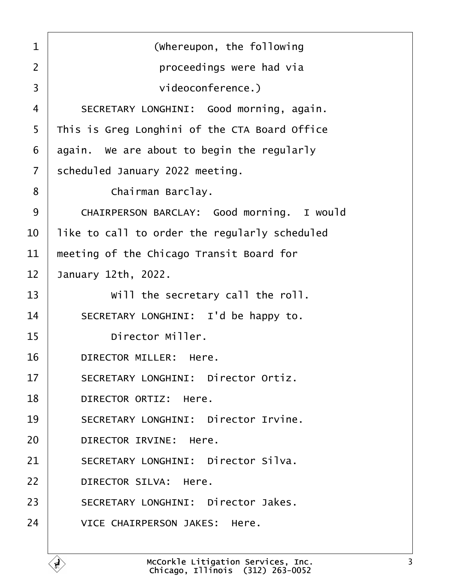<span id="page-2-0"></span>·1· · · · · · · · · ·(Whereupon, the following ·2· · · · · · · · · · proceedings were had via 3 **b**  $\blacksquare$  **1**  $\blacksquare$  **1**  $\blacksquare$  **1**  $\blacksquare$  **1**  $\blacksquare$  **1**  $\blacksquare$  **1**  $\blacksquare$  **1**  $\blacksquare$  **1**  $\blacksquare$  **1**  $\blacksquare$  **1**  $\blacksquare$  **1**  $\blacksquare$  **1**  $\blacksquare$  **1**  $\blacksquare$  **1**  $\blacksquare$  **1**  $\blacksquare$  **1**  $\blacksquare$  **1**  $\blacksquare$  **1**  $\blacksquare$  **1**  $\blacksquare$  4 SECRETARY LONGHINI: Good morning, again. 5 This is Greg Longhini of the CTA Board Office  $6$  again. We are about to begin the regularly  $7$  scheduled January 2022 meeting. 8 | Chairman Barclay. 9 CHAIRPERSON BARCLAY: Good morning. I would  $10$   $\vert$  like to call to order the regularly scheduled  $11$   $\parallel$  meeting of the Chicago Transit Board for 12 January 12th, 2022.  $13$   $\vert$  will the secretary call the roll. 14 SECRETARY LONGHINI: I'd be happy to. 15 **birector Miller.** 16 DIRECTOR MILLER: Here. 17 SECRETARY LONGHINI: Director Ortiz. 18 | DIRECTOR ORTIZ: Here. 19 | SECRETARY LONGHINI: Director Irvine. 20 DIRECTOR IRVINE: Here. 21 SECRETARY LONGHINI: Director Silva. 22 DIRECTOR SILVA: Here. 23 SECRETARY LONGHINI: Director Jakes. 24 VICE CHAIRPERSON JAKES: Here.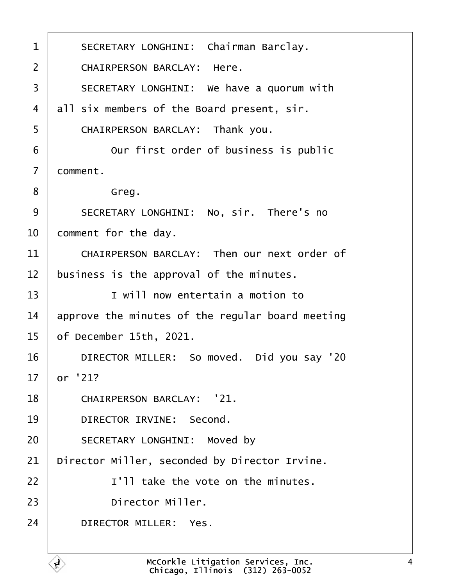<span id="page-3-0"></span>

| $\mathbf 1$    | SECRETARY LONGHINI: Chairman Barclay.            |
|----------------|--------------------------------------------------|
| $\overline{2}$ | CHAIRPERSON BARCLAY: Here.                       |
| 3              | SECRETARY LONGHINI: We have a quorum with        |
| 4              | all six members of the Board present, sir.       |
| 5              | CHAIRPERSON BARCLAY: Thank you.                  |
| 6              | Our first order of business is public            |
| $\overline{7}$ | comment.                                         |
| 8              | Greg.                                            |
| 9              | SECRETARY LONGHINI: No, sir. There's no          |
| 10             | comment for the day.                             |
| 11             | CHAIRPERSON BARCLAY: Then our next order of      |
| 12             | business is the approval of the minutes.         |
| 13             | I will now entertain a motion to                 |
| 14             | approve the minutes of the regular board meeting |
| 15             | of December 15th, 2021.                          |
| 16             | DIRECTOR MILLER: So moved. Did you say '20       |
| 17             | or '21?                                          |
| 18             | CHAIRPERSON BARCLAY: '21.                        |
| 19             | DIRECTOR IRVINE: Second.                         |
| 20             | SECRETARY LONGHINI: Moved by                     |
| 21             | Director Miller, seconded by Director Irvine.    |
| 22             | I'll take the vote on the minutes.               |
| 23             | Director Miller.                                 |
| 24             | DIRECTOR MILLER: Yes.                            |
|                |                                                  |

Ê,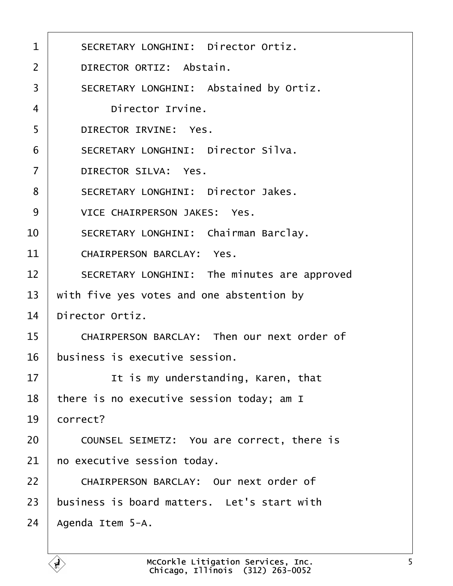<span id="page-4-0"></span>

| $\mathbf 1$    | SECRETARY LONGHINI: Director Ortiz.          |
|----------------|----------------------------------------------|
| $\overline{2}$ | DIRECTOR ORTIZ: Abstain.                     |
| 3              | SECRETARY LONGHINI: Abstained by Ortiz.      |
| 4              | Director Irvine.                             |
| 5              | DIRECTOR IRVINE: Yes.                        |
| 6              | SECRETARY LONGHINI: Director Silva.          |
| $\overline{7}$ | DIRECTOR SILVA: Yes.                         |
| 8              | SECRETARY LONGHINI: Director Jakes.          |
| 9              | VICE CHAIRPERSON JAKES: Yes.                 |
| 10             | SECRETARY LONGHINI: Chairman Barclay.        |
| 11             | CHAIRPERSON BARCLAY: Yes.                    |
| 12             | SECRETARY LONGHINI: The minutes are approved |
| 13             | with five yes votes and one abstention by    |
| 14             | Director Ortiz.                              |
| 15             | CHAIRPERSON BARCLAY: Then our next order of  |
| 16             | business is executive session.               |
| 17             | It is my understanding, Karen, that          |
| 18             | there is no executive session today; am I    |
| 19             | correct?                                     |
| 20             | COUNSEL SEIMETZ: You are correct, there is   |
| 21             | no executive session today.                  |
| 22             | CHAIRPERSON BARCLAY: Our next order of       |
| 23             | business is board matters. Let's start with  |
| 24             | Agenda Item 5-A.                             |
|                |                                              |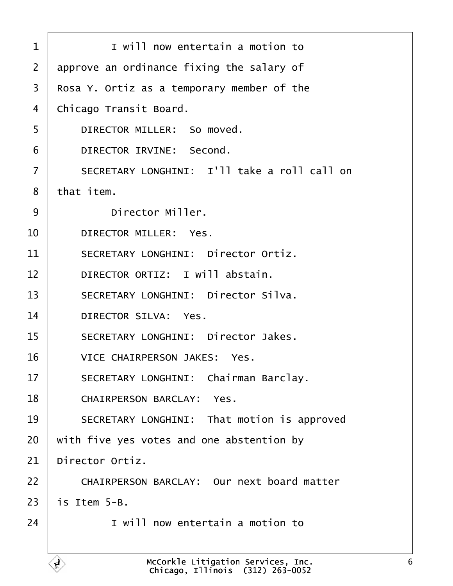<span id="page-5-0"></span>

| $\mathbf 1$    | I will now entertain a motion to                                       |
|----------------|------------------------------------------------------------------------|
| $\overline{2}$ | approve an ordinance fixing the salary of                              |
| 3              | Rosa Y. Ortiz as a temporary member of the                             |
| 4              | Chicago Transit Board.                                                 |
| 5              | DIRECTOR MILLER: So moved.                                             |
| 6              | DIRECTOR IRVINE: Second.                                               |
| $\overline{7}$ | SECRETARY LONGHINI: I'll take a roll call on                           |
| 8              | that item.                                                             |
| 9              | Director Miller.                                                       |
| 10             | DIRECTOR MILLER: Yes.                                                  |
| 11             | SECRETARY LONGHINI: Director Ortiz.                                    |
| 12             | DIRECTOR ORTIZ: I will abstain.                                        |
| 13             | SECRETARY LONGHINI: Director Silva.                                    |
| 14             | DIRECTOR SILVA: Yes.                                                   |
| 15             | SECRETARY LONGHINI: Director Jakes.                                    |
| 16             | VICE CHAIRPERSON JAKES: Yes.                                           |
| 17             | SECRETARY LONGHINI: Chairman Barclay.                                  |
| 18             | CHAIRPERSON BARCLAY: Yes.                                              |
| 19             | SECRETARY LONGHINI: That motion is approved                            |
| 20             | with five yes votes and one abstention by                              |
| 21             | Director Ortiz.                                                        |
| 22             | CHAIRPERSON BARCLAY: Our next board matter                             |
| 23             | is Item 5-B.                                                           |
| 24             | I will now entertain a motion to                                       |
|                |                                                                        |
|                | McCorkle Litigation Services, Inc.<br>Chicago. Illinois (312) 263-0052 |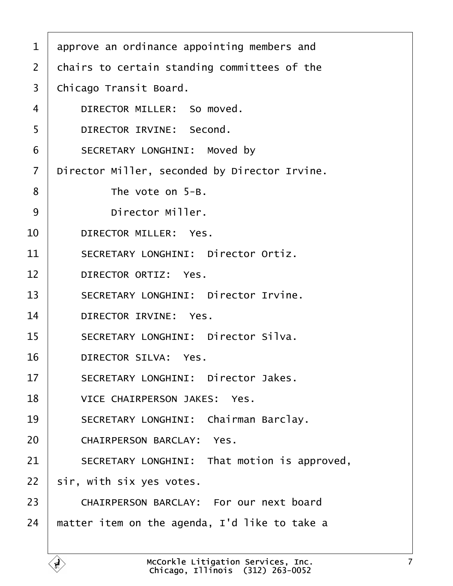<span id="page-6-0"></span>

| 1              | approve an ordinance appointing members and   |
|----------------|-----------------------------------------------|
| $\overline{2}$ | chairs to certain standing committees of the  |
| 3              | Chicago Transit Board.                        |
| 4              | DIRECTOR MILLER: So moved.                    |
| 5              | DIRECTOR IRVINE: Second.                      |
| 6              | SECRETARY LONGHINI: Moved by                  |
| $\overline{7}$ | Director Miller, seconded by Director Irvine. |
| 8              | The vote on $5-B$ .                           |
| 9              | Director Miller.                              |
| 10             | DIRECTOR MILLER: Yes.                         |
| 11             | SECRETARY LONGHINI: Director Ortiz.           |
| 12             | DIRECTOR ORTIZ: Yes.                          |
| 13             | SECRETARY LONGHINI: Director Irvine.          |
| 14             | DIRECTOR IRVINE: Yes.                         |
| 15             | SECRETARY LONGHINI: Director Silva.           |
| 16             | DIRECTOR SILVA: Yes.                          |
| 17             | SECRETARY LONGHINI: Director Jakes.           |
| 18             | VICE CHAIRPERSON JAKES: Yes.                  |
| 19             | SECRETARY LONGHINI: Chairman Barclay.         |
| 20             | CHAIRPERSON BARCLAY: Yes.                     |
| 21             | SECRETARY LONGHINI: That motion is approved,  |
| 22             | sir, with six yes votes.                      |
| 23             | CHAIRPERSON BARCLAY: For our next board       |
| 24             | matter item on the agenda, I'd like to take a |
|                |                                               |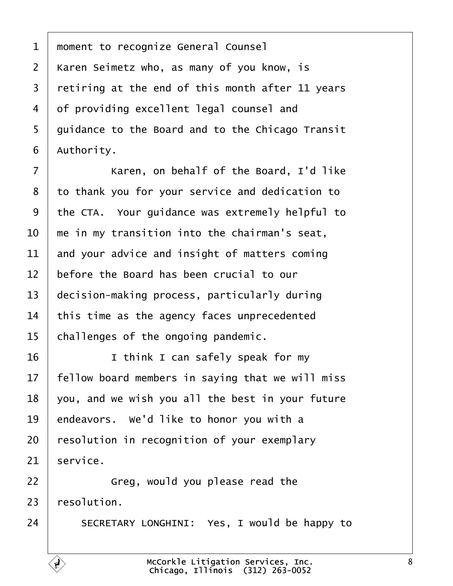<span id="page-7-0"></span>1 | moment to recognize General Counsel | Karen Seimetz who, as many of you know, is  $\vert$  retiring at the end of this month after 11 years 4 of providing excellent legal counsel and 5 | guidance to the Board and to the Chicago Transit | Authority.

7 | Karen, on behalf of the Board, I'd like 8 to thank you for your service and dedication to the CTA. Your quidance was extremely helpful to  $\parallel$  me in my transition into the chairman's seat, and your advice and insight of matters coming  $\parallel$  before the Board has been crucial to our decision-making process, particularly during  $\vert$  this time as the agency faces unprecedented challenges of the ongoing pandemic.

16 I think I can safely speak for my Fellow board members in saying that we will miss  $\vert$  you, and we wish you all the best in your future | endeavors. We'd like to honor you with a | resolution in recognition of your exemplary service.

**I** Greg, would you please read the  $\pm$  resolution.

24 SECRETARY LONGHINI: Yes, I would be happy to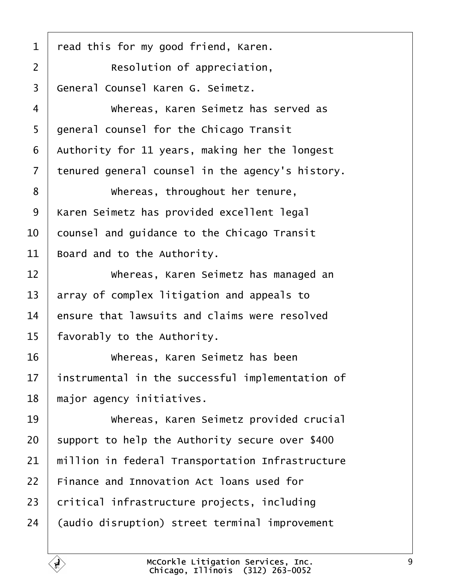<span id="page-8-0"></span> read this for my good friend, Karen. **candom Resolution of appreciation**, 3 General Counsel Karen G. Seimetz. 4 Whereas, Karen Seimetz has served as 5 | general counsel for the Chicago Transit | Authority for 11 years, making her the longest tenured general counsel in the agency's history. 8 | **Whereas, throughout her tenure**, 9 | Karen Seimetz has provided excellent legal  $\vert$  counsel and quidance to the Chicago Transit Board and to the Authority.  $\parallel$  whereas, Karen Seimetz has managed an  $\vert$  array of complex litigation and appeals to ensure that lawsuits and claims were resolved | favorably to the Authority. 16 | **Whereas, Karen Seimetz has been**  | instrumental in the successful implementation of  $\parallel$  major agency initiatives. 19 Whereas, Karen Seimetz provided crucial support to help the Authority secure over \$400  $\parallel$  million in federal Transportation Infrastructure  $\mid$  Finance and Innovation Act loans used for critical infrastructure projects, including 24 | (audio disruption) street terminal improvement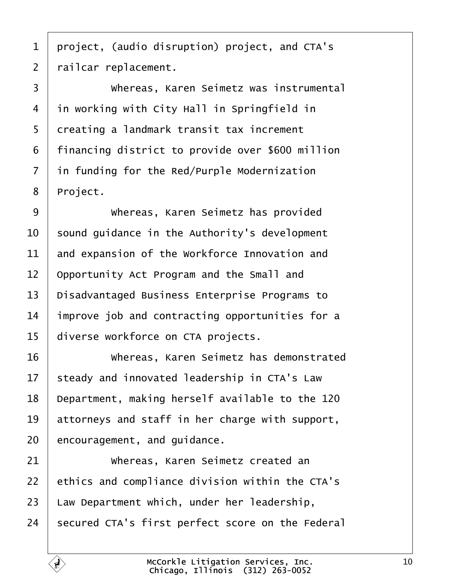<span id="page-9-0"></span> $1$  project, (audio disruption) project, and CTA's 2 | railcar replacement.

·3· · · · · · Whereas, Karen Seimetz was instrumental 4 in working with City Hall in Springfield in 5 creating a landmark transit tax increment 6 | financing district to provide over \$600 million  $7$  in funding for the Red/Purple Modernization 8 | Project.

**Whereas, Karen Seimetz has provided**  sound quidance in the Authority's development and expansion of the Workforce Innovation and | Opportunity Act Program and the Small and 13 | Disadvantaged Business Enterprise Programs to improve job and contracting opportunities for a 15 | diverse workforce on CTA projects.

16 | Whereas, Karen Seimetz has demonstrated steady and innovated leadership in CTA's Law | Department, making herself available to the 120 attorneys and staff in her charge with support, encouragement, and quidance.

21 | Whereas, Karen Seimetz created an ethics and compliance division within the CTA's Law Department which, under her leadership, secured CTA's first perfect score on the Federal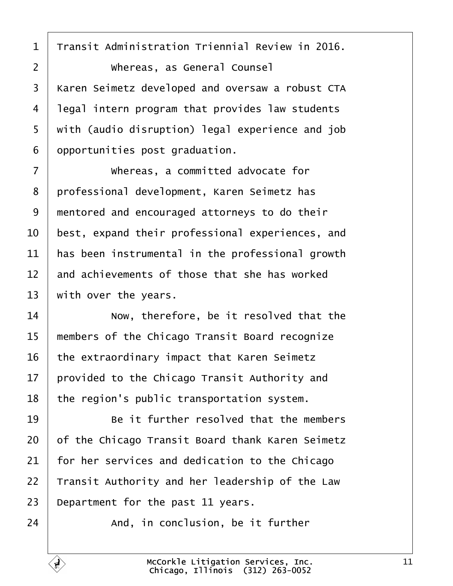<span id="page-10-0"></span>Transit Administration Triennial Review in 2016.

·2· · · · · · Whereas, as General Counsel 3 | Karen Seimetz developed and oversaw a robust CTA legal intern program that provides law students 5 | with (audio disruption) legal experience and job opportunities post graduation.

**Whereas, a committed advocate for** 8 | professional development, Karen Seimetz has 9 mentored and encouraged attorneys to do their  $\vert$  best, expand their professional experiences, and  $\parallel$  has been instrumental in the professional growth  $\parallel$  and achievements of those that she has worked with over the years.

 Now, therefore, be it resolved that the 15 | members of the Chicago Transit Board recognize the extraordinary impact that Karen Seimetz provided to the Chicago Transit Authority and | the region's public transportation system.

**Be it further resolved that the members**  of the Chicago Transit Board thank Karen Seimetz for her services and dedication to the Chicago | Transit Authority and her leadership of the Law  $\vert$  Department for the past 11 years.

 $\parallel$  and, in conclusion, be it further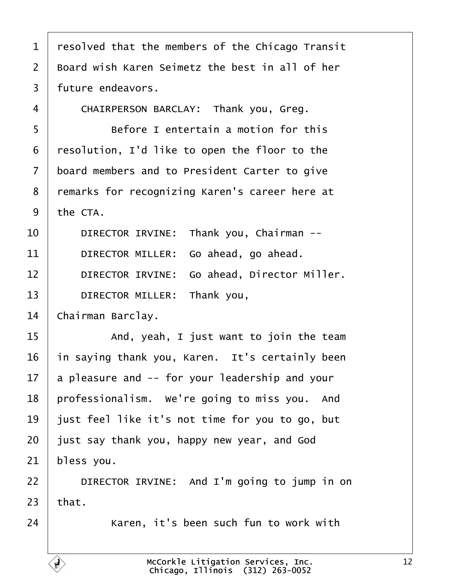<span id="page-11-0"></span> resolved that the members of the Chicago Transit  $\vert$  Board wish Karen Seimetz the best in all of her | future endeavors. 4 | CHAIRPERSON BARCLAY: Thank you, Greg. **Before I entertain a motion for this**  | resolution, I'd like to open the floor to the 7 board members and to President Carter to give 8 | remarks for recognizing Karen's career here at the CTA. 10 DIRECTOR IRVINE: Thank you, Chairman --  $\blacksquare$  DIRECTOR MILLER: Go ahead, go ahead. 12 | DIRECTOR IRVINE: Go ahead, Director Miller. 13 DIRECTOR MILLER: Thank you, 14 Chairman Barclay.  $\vert$  and, yeah, I just want to join the team in saying thank you, Karen. It's certainly been a pleasure and  $-$  for your leadership and your | professionalism. We're going to miss you. And | just feel like it's not time for you to go, but just say thank you, happy new year, and God | bless you. **DIRECTOR IRVINE:** And I'm going to jump in on that. 24 Xaren, it's been such fun to work with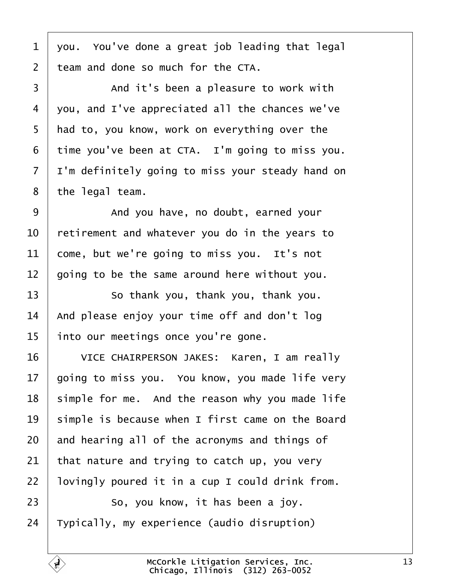<span id="page-12-0"></span> you. You've done a great job leading that legal  $\pm$  team and done so much for the CTA.

3 and it's been a pleasure to work with vou, and I've appreciated all the chances we've | had to, you know, work on everything over the time you've been at CTA. I'm going to miss you.  $\vert$  I'm definitely going to miss your steady hand on | the legal team.

9 | And you have, no doubt, earned your  $\vert$  retirement and whatever you do in the years to come, but we're going to miss you. It's not going to be the same around here without you.

13 | So thank you, thank you, thank you.  $\vert$  And please enjoy your time off and don't log into our meetings once you're gone.

16 | VICE CHAIRPERSON JAKES: Karen, I am really | going to miss you. You know, you made life very simple for me. And the reason why you made life | simple is because when I first came on the Board and hearing all of the acronyms and things of that nature and trying to catch up, you very | lovingly poured it in a cup I could drink from. **So, you know, it has been a joy.** 

Typically, my experience (audio disruption)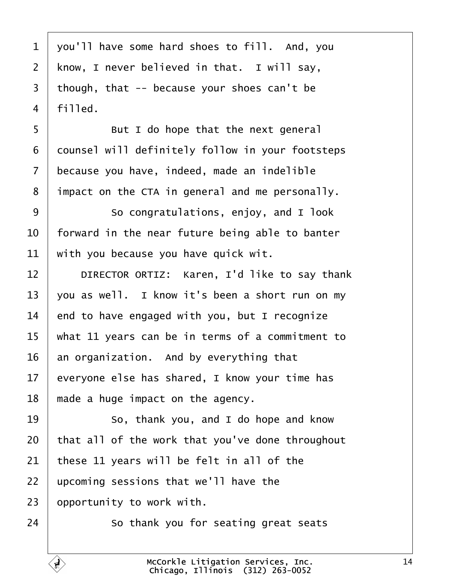<span id="page-13-0"></span> vou'll have some hard shoes to fill. And, you | know, I never believed in that. I will say, though, that -- because your shoes can't be  $4 \mid$  filled.

5 | But I do hope that the next general 6 | counsel will definitely follow in your footsteps because you have, indeed, made an indelible impact on the CTA in general and me personally.

9 | So congratulations, enjoy, and I look  $\vert$  forward in the near future being able to banter with you because you have quick wit.

12 | DIRECTOR ORTIZ: Karen, I'd like to say thank 13 vou as well. I know it's been a short run on my  $\parallel$  end to have engaged with you, but I recognize what 11 years can be in terms of a commitment to an organization. And by everything that everyone else has shared, I know your time has  $\parallel$  made a huge impact on the agency.

19 So, thank you, and I do hope and know | that all of the work that you've done throughout these 11 years will be felt in all of the upcoming sessions that we'll have the opportunity to work with.

24 So thank you for seating great seats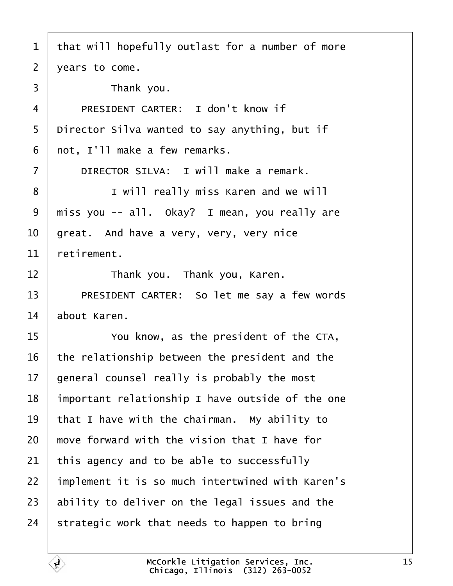<span id="page-14-0"></span> that will hopefully outlast for a number of more years to come.  $\overline{3}$   $\overline{5}$   $\overline{7}$   $\overline{7}$   $\overline{7}$   $\overline{7}$   $\overline{7}$   $\overline{7}$   $\overline{2}$   $\overline{2}$   $\overline{2}$   $\overline{2}$   $\overline{2}$   $\overline{2}$   $\overline{2}$   $\overline{2}$   $\overline{2}$   $\overline{2}$   $\overline{2}$   $\overline{2}$   $\overline{2}$   $\overline{2}$   $\overline{2}$   $\overline{2}$   $\overline{$ 4 | PRESIDENT CARTER: I don't know if 5 Director Silva wanted to say anything, but if | not, I'll make a few remarks. **DIRECTOR SILVA:** I will make a remark. 8 | I will really miss Karen and we will  $9 \mid$  miss you -- all. Okay? I mean, you really are great. And have a very, very, very nice retirement. **I Thank you.** Thank you, Karen. 13 PRESIDENT CARTER: So let me say a few words about Karen. **If the CTA,** The president of the CTA, the relationship between the president and the | general counsel really is probably the most | important relationship I have outside of the one  $\vert$  that I have with the chairman. My ability to  $\parallel$  move forward with the vision that I have for this agency and to be able to successfully | implement it is so much intertwined with Karen's ability to deliver on the legal issues and the 24 Strategic work that needs to happen to bring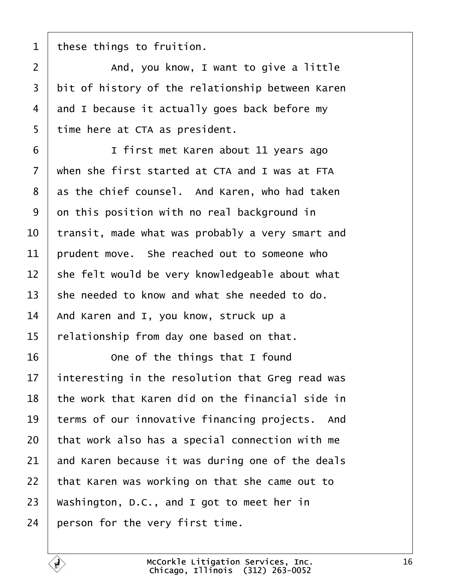<span id="page-15-0"></span>these things to fruition.

2 | and, you know, I want to give a little bit of history of the relationship between Karen 4 and I because it actually goes back before my 5 | time here at CTA as president.

**I** first met Karen about 11 years ago  $\vert$  when she first started at CTA and I was at FTA as the chief counsel. And Karen, who had taken on this position with no real background in  $\vert$  transit, made what was probably a very smart and rudent move. She reached out to someone who she felt would be very knowledgeable about what she needed to know and what she needed to do. And Karen and I, you know, struck up a relationship from day one based on that.

**16** One of the things that I found | interesting in the resolution that Greg read was  $\pm$  the work that Karen did on the financial side in terms of our innovative financing projects. And that work also has a special connection with me and Karen because it was during one of the deals | that Karen was working on that she came out to 23 Washington, D.C., and I got to meet her in person for the very first time.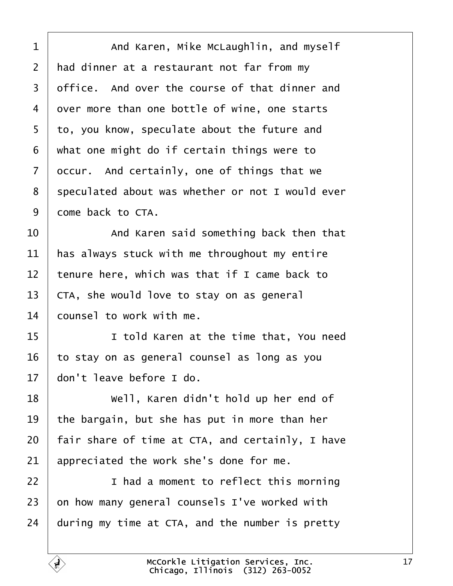<span id="page-16-0"></span>1 | And Karen, Mike McLaughlin, and myself  $\vert$  had dinner at a restaurant not far from my  $3 \mid$  office. And over the course of that dinner and 4 over more than one bottle of wine, one starts to, you know, speculate about the future and what one might do if certain things were to occur. And certainly, one of things that we 8 | speculated about was whether or not I would ever 9 come back to CTA.

  $\vert$  and Karen said something back then that  $\parallel$  has always stuck with me throughout my entire  $\vert$  tenure here, which was that if I came back to  $\vert$  CTA, she would love to stay on as general  $\pm$  counsel to work with me.

**I** told Karen at the time that, You need to stay on as general counsel as long as you  $\parallel$  don't leave before I do.

**I** well, Karen didn't hold up her end of  $\vert$  the bargain, but she has put in more than her | fair share of time at CTA, and certainly, I have appreciated the work she's done for me.

**I** had a moment to reflect this morning on how many general counsels I've worked with during my time at CTA, and the number is pretty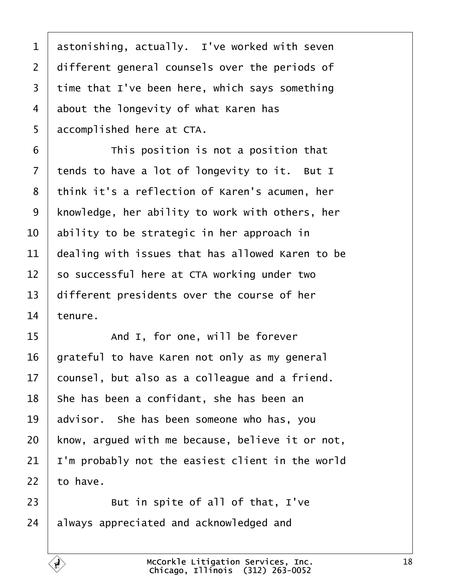<span id="page-17-0"></span> astonishing, actually. I've worked with seven 2 different general counsels over the periods of time that I've been here, which says something about the longevity of what Karen has 5 accomplished here at CTA.

**I This position is not a position that**  tends to have a lot of longevity to it. But I 8 think it's a reflection of Karen's acumen, her | knowledge, her ability to work with others, her  $\vert$  ability to be strategic in her approach in  $\vert$  dealing with issues that has allowed Karen to be  $\vert$  so successful here at CTA working under two different presidents over the course of her tenure.

15 and I, for one, will be forever grateful to have Karen not only as my general  $\vert$  counsel, but also as a colleague and a friend. she has been a confidant, she has been an advisor. She has been someone who has, you | know, argued with me because, believe it or not,  $\vert$  I'm probably not the easiest client in the world to have.

23 But in spite of all of that,  $I've$ always appreciated and acknowledged and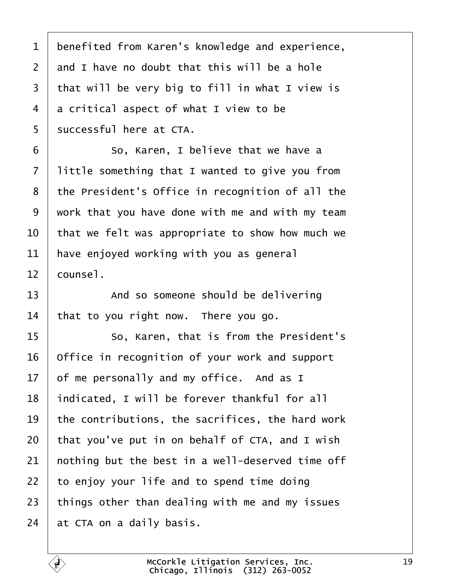<span id="page-18-0"></span>1 | benefited from Karen's knowledge and experience, and I have no doubt that this will be a hole that will be very big to fill in what I view is 4 a critical aspect of what I view to be | successful here at CTA.

**6** So, Karen, I believe that we have a | little something that I wanted to give you from the President's Office in recognition of all the work that you have done with me and with my team  $\vert$  that we felt was appropriate to show how much we have enjoyed working with you as general  $12 \mid \text{course1}.$ 

13 And so someone should be delivering that to you right now. There you go.

15 | So, Karen, that is from the President's Office in recognition of your work and support of me personally and my office. And as I 18 | indicated, I will be forever thankful for all the contributions, the sacrifices, the hard work that you've put in on behalf of CTA, and I wish  $\vert$  nothing but the best in a well-deserved time off to enjoy your life and to spend time doing things other than dealing with me and my issues at CTA on a daily basis.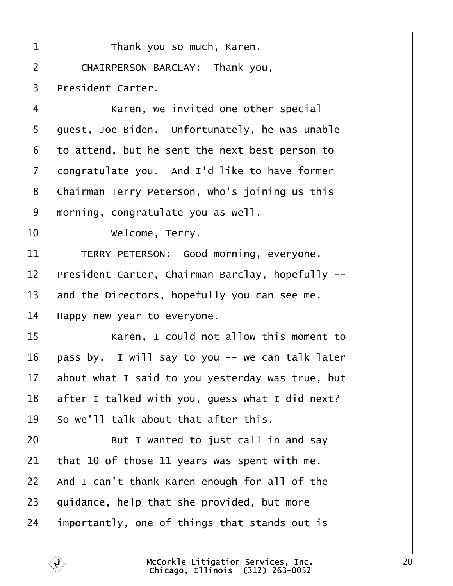<span id="page-19-0"></span>**I** Thank you so much, Karen. 2 | CHAIRPERSON BARCLAY: Thank you, | President Carter. 4 | Karen, we invited one other special | quest, Joe Biden. Unfortunately, he was unable to attend, but he sent the next best person to congratulate you. And I'd like to have former 8 | Chairman Terry Peterson, who's joining us this morning, congratulate you as well. **Welcome, Terry.** 11 TERRY PETERSON: Good morning, everyone. | President Carter, Chairman Barclay, hopefully -- $\parallel$  and the Directors, hopefully you can see me. | Happy new year to everyone. 15· · · · · · Karen, I could not allow this moment to | pass by. I will say to you -- we can talk later about what I said to you yesterday was true, but | after I talked with you, quess what I did next? | So we'll talk about that after this.  $\vert$  But I wanted to just call in and say 21 | that 10 of those 11 years was spent with me. | And I can't thank Karen enough for all of the | quidance, help that she provided, but more importantly, one of things that stands out is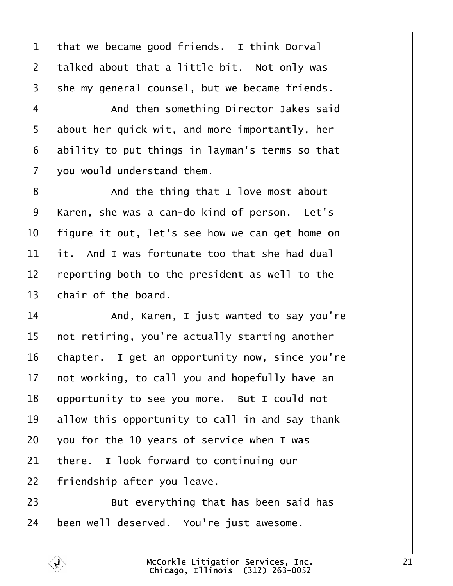<span id="page-20-0"></span> that we became good friends. I think Dorval 2 | talked about that a little bit. Not only was 3 | she my general counsel, but we became friends.

4 | And then something Director Jakes said about her quick wit, and more importantly, her ability to put things in layman's terms so that  $\sqrt{ }$  vou would understand them.

8 and the thing that I love most about 9 | Karen, she was a can-do kind of person. Let's | figure it out, let's see how we can get home on  $\pm$  it. And I was fortunate too that she had dual reporting both to the president as well to the chair of the board.

**14** And, Karen, I just wanted to say you're  $\mid$  not retiring, you're actually starting another chapter. I get an opportunity now, since you're not working, to call you and hopefully have an opportunity to see you more. But I could not allow this opportunity to call in and say thank vou for the 10 years of service when I was there. I look forward to continuing our | friendship after you leave.

**But everything that has been said has** been well deserved. You're just awesome.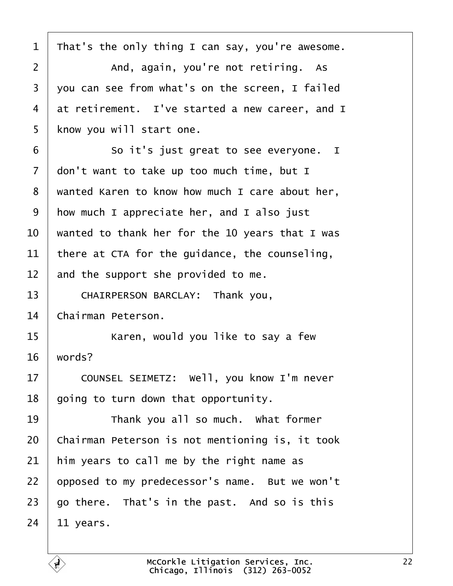<span id="page-21-0"></span>

| $\mathbf 1$    | That's the only thing I can say, you're awesome. |
|----------------|--------------------------------------------------|
| $\overline{2}$ | And, again, you're not retiring. As              |
| 3              | you can see from what's on the screen, I failed  |
| 4              | at retirement. I've started a new career, and I  |
| 5              | know you will start one.                         |
| 6              | So it's just great to see everyone. I            |
| $\overline{7}$ | don't want to take up too much time, but I       |
| 8              | wanted Karen to know how much I care about her,  |
| 9              | how much I appreciate her, and I also just       |
| 10             | wanted to thank her for the 10 years that I was  |
| 11             | there at CTA for the guidance, the counseling,   |
| 12             | and the support she provided to me.              |
| 13             | CHAIRPERSON BARCLAY: Thank you,                  |
| 14             | Chairman Peterson.                               |
| 15             | Karen, would you like to say a few               |
| 16             | words?                                           |
| 17             | COUNSEL SEIMETZ: Well, you know I'm never        |
| 18             | going to turn down that opportunity.             |
| 19             | Thank you all so much. What former               |
| 20             | Chairman Peterson is not mentioning is, it took  |
| 21             | him years to call me by the right name as        |
| 22             | opposed to my predecessor's name. But we won't   |
| 23             | go there. That's in the past. And so is this     |
| 24             | 11 years.                                        |

É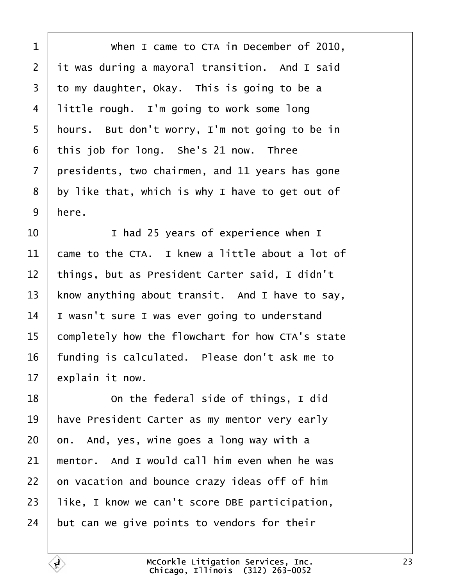<span id="page-22-0"></span>1 | When I came to CTA in December of 2010, it was during a mayoral transition. And I said to my daughter, Okay. This is going to be a little rough. I'm going to work some long | hours. But don't worry, I'm not going to be in this job for long. She's 21 now. Three  $\vert$  presidents, two chairmen, and 11 years has gone by like that, which is why I have to get out of here.

  $\begin{array}{ccc} \text{I} & \text{I} & \text{I} & \text{I} & \text{I} & \text{I} & \text{I} & \text{I} & \text{I} & \text{I} & \text{I} & \text{I} & \text{I} & \text{I} & \text{I} & \text{I} & \text{I} & \text{I} & \text{I} & \text{I} & \text{I} & \text{I} & \text{I} & \text{I} & \text{I} & \text{I} & \text{I} & \text{I} & \text{I} & \text{I} & \text{I} & \text{I} & \text{I} & \text{I} & \text{I$   $\vert$  came to the CTA. I knew a little about a lot of 12 | things, but as President Carter said, I didn't 13 | know anything about transit. And I have to say, | I wasn't sure I was ever going to understand 15 completely how the flowchart for how CTA's state funding is calculated. Please don't ask me to explain it now.

**18** On the federal side of things, I did | have President Carter as my mentor very early on. And, yes, wine goes a long way with a  $\parallel$  mentor. And I would call him even when he was on vacation and bounce crazy ideas off of him | like, I know we can't score DBE participation, but can we give points to vendors for their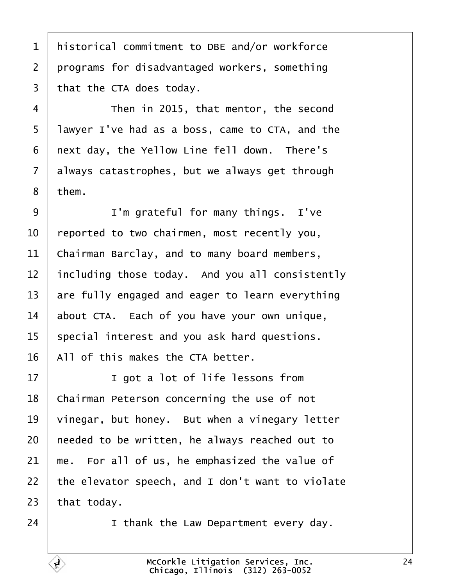<span id="page-23-0"></span>1 | historical commitment to DBE and/or workforce 2 programs for disadvantaged workers, something | that the CTA does today.

4 Then in 2015, that mentor, the second 5 | lawyer I've had as a boss, came to CTA, and the | next day, the Yellow Line fell down. There's always catastrophes, but we always get through | them.

 | I'm grateful for many things. I've  $\vert$  reported to two chairmen, most recently you, 11 | Chairman Barclay, and to many board members, including those today. And you all consistently  $\vert$  are fully engaged and eager to learn everything 14 about CTA. Each of you have your own unique, special interest and you ask hard questions. | All of this makes the CTA better.

17 | I got a lot of life lessons from | Chairman Peterson concerning the use of not vinegar, but honey. But when a vinegary letter | needed to be written, he always reached out to  $\parallel$  me. For all of us, he emphasized the value of  $\vert$  the elevator speech, and I don't want to violate that today.

24· · · · · · I thank the Law Department every day.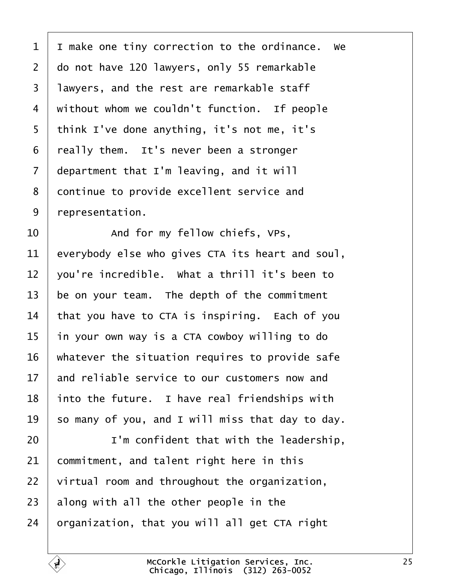<span id="page-24-0"></span> I make one tiny correction to the ordinance. We 2 do not have 120 lawyers, only 55 remarkable 3 | lawyers, and the rest are remarkable staff without whom we couldn't function. If people | think I've done anything, it's not me, it's  $\vert$  really them. It's never been a stronger department that I'm leaving, and it will 8 continue to provide excellent service and | representation.

  $\vert$  and for my fellow chiefs, VPs, everybody else who gives CTA its heart and soul,  $\vert$  vou're incredible. What a thrill it's been to be on your team. The depth of the commitment that you have to CTA is inspiring. Each of you in your own way is a CTA cowboy willing to do | whatever the situation requires to provide safe and reliable service to our customers now and  $\vert$  into the future. I have real friendships with 19 so many of you, and I will miss that day to day.

20· · · · · · I'm confident that with the leadership, commitment, and talent right here in this virtual room and throughout the organization, along with all the other people in the | organization, that you will all get CTA right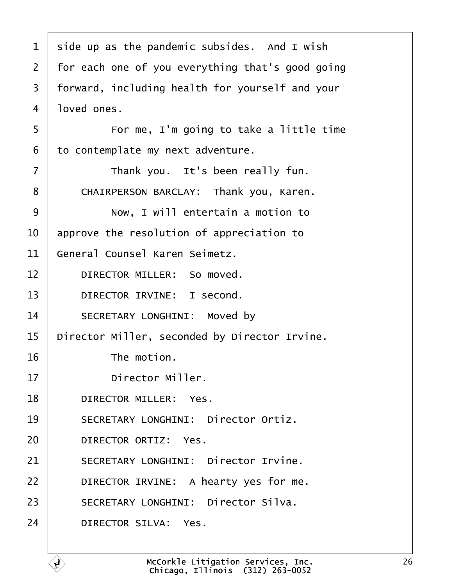<span id="page-25-0"></span>

| $\mathbf{1}$   | side up as the pandemic subsides. And I wish     |
|----------------|--------------------------------------------------|
| $\overline{2}$ | for each one of you everything that's good going |
| $\mathsf{3}$   | forward, including health for yourself and your  |
| $\overline{4}$ | loved ones.                                      |
| 5              | For me, I'm going to take a little time          |
| 6              | to contemplate my next adventure.                |
| $\overline{7}$ | Thank you. It's been really fun.                 |
| 8              | CHAIRPERSON BARCLAY: Thank you, Karen.           |
| 9              | Now, I will entertain a motion to                |
| 10             | approve the resolution of appreciation to        |
| 11             | General Counsel Karen Seimetz.                   |
| 12             | DIRECTOR MILLER: So moved.                       |
| 13             | DIRECTOR IRVINE: I second.                       |
| 14             | SECRETARY LONGHINI: Moved by                     |
| 15             | Director Miller, seconded by Director Irvine.    |
| 16             | The motion.                                      |
| 17             | Director Miller.                                 |
| 18             | DIRECTOR MILLER: Yes.                            |
| 19             | SECRETARY LONGHINI: Director Ortiz.              |
| 20             | DIRECTOR ORTIZ: Yes.                             |
| 21             | SECRETARY LONGHINI: Director Irvine.             |
| 22             | DIRECTOR IRVINE: A hearty yes for me.            |
| 23             | SECRETARY LONGHINI: Director Silva.              |
| 24             | DIRECTOR SILVA: Yes.                             |
|                |                                                  |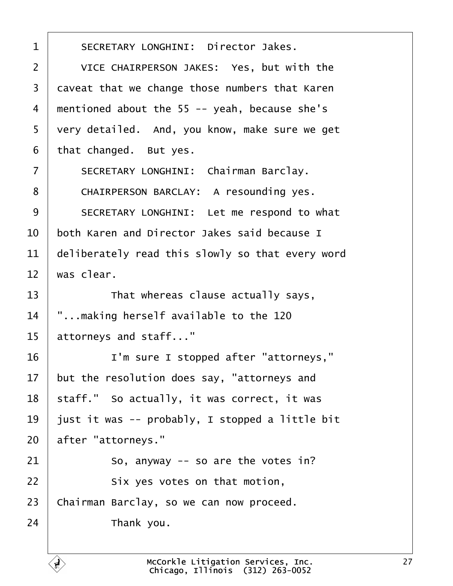<span id="page-26-0"></span>1 | SECRETARY LONGHINI: Director Jakes. 2 VICE CHAIRPERSON JAKES: Yes, but with the 3 caveat that we change those numbers that Karen 4 | mentioned about the 55 -- yeah, because she's 5 | very detailed. And, you know, make sure we get  $6$  | that changed. But yes. 7 | SECRETARY LONGHINI: Chairman Barclay. 8 | CHAIRPERSON BARCLAY: A resounding yes. 9 SECRETARY LONGHINI: Let me respond to what  $10$   $\parallel$  both Karen and Director Jakes said because I  $11$  deliberately read this slowly so that every word  $12$  was clear.  $13$   $\vert$  That whereas clause actually says,  $14$   $\vert$  "...making herself available to the 120  $15$  attorneys and staff..." 16 | I'm sure I stopped after "attorneys,"  $17$  but the resolution does say, "attorneys and  $18$  staff." So actually, it was correct, it was 19 | just it was -- probably, I stopped a little bit 20 after "attorneys."  $21$   $\vert$  so, anyway -- so are the votes in? 22 **Six yes votes on that motion**, 23 | Chairman Barclay, so we can now proceed.  $24$  Thank you.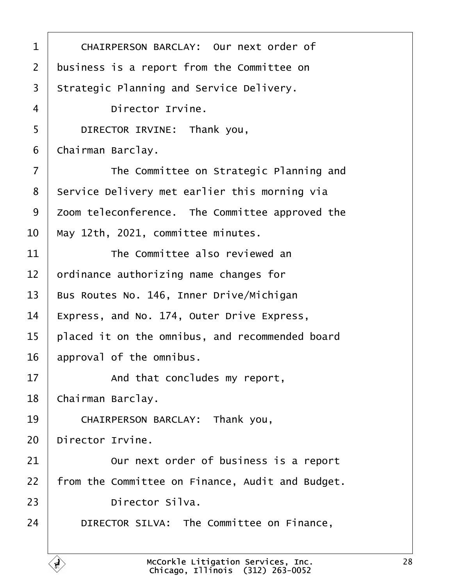<span id="page-27-0"></span>

| 1              | CHAIRPERSON BARCLAY: Our next order of           |
|----------------|--------------------------------------------------|
| $\overline{2}$ | business is a report from the Committee on       |
| 3              | Strategic Planning and Service Delivery.         |
| 4              | Director Irvine.                                 |
| 5              | DIRECTOR IRVINE: Thank you,                      |
| 6              | Chairman Barclay.                                |
| $\overline{7}$ | The Committee on Strategic Planning and          |
| 8              | Service Delivery met earlier this morning via    |
| 9              | Zoom teleconference. The Committee approved the  |
| 10             | May 12th, 2021, committee minutes.               |
| 11             | The Committee also reviewed an                   |
| 12             | ordinance authorizing name changes for           |
| 13             | Bus Routes No. 146, Inner Drive/Michigan         |
| 14             | Express, and No. 174, Outer Drive Express,       |
| 15             | placed it on the omnibus, and recommended board  |
| 16             | approval of the omnibus.                         |
| 17             | And that concludes my report,                    |
| 18             | Chairman Barclay.                                |
| 19             | CHAIRPERSON BARCLAY: Thank you,                  |
| 20             | Director Irvine.                                 |
| 21             | Our next order of business is a report           |
| 22             | from the Committee on Finance, Audit and Budget. |
| 23             | Director Silva.                                  |
| 24             | DIRECTOR SILVA: The Committee on Finance,        |
|                |                                                  |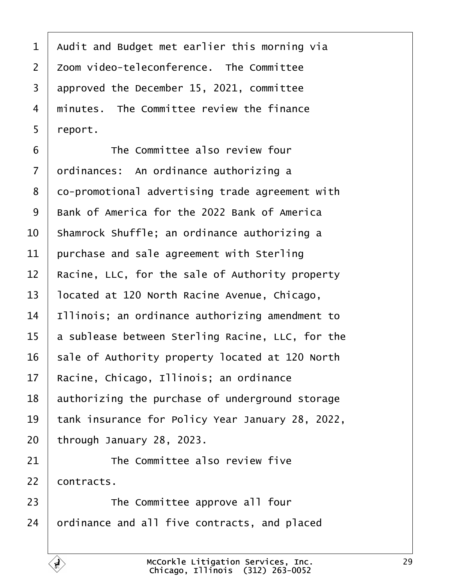<span id="page-28-0"></span> Audit and Budget met earlier this morning via  $\overline{\phantom{a}}$  zoom video-teleconference. The Committee approved the December 15, 2021, committee  $\mid$  minutes. The Committee review the finance | report.

**The Committee also review four** 7 | ordinances: An ordinance authorizing a 8 | co-promotional advertising trade agreement with 9 | Bank of America for the 2022 Bank of America  $\vert$  Shamrock Shuffle; an ordinance authorizing a purchase and sale agreement with Sterling Racine, LLC, for the sale of Authority property | located at 120 North Racine Avenue, Chicago, | Illinois; an ordinance authorizing amendment to a sublease between Sterling Racine, LLC, for the sale of Authority property located at 120 North 17 | Racine, Chicago, Illinois; an ordinance authorizing the purchase of underground storage 19 | tank insurance for Policy Year January 28, 2022, through January 28, 2023.

The Committee also review five

contracts.

**The Committee approve all four** ordinance and all five contracts, and placed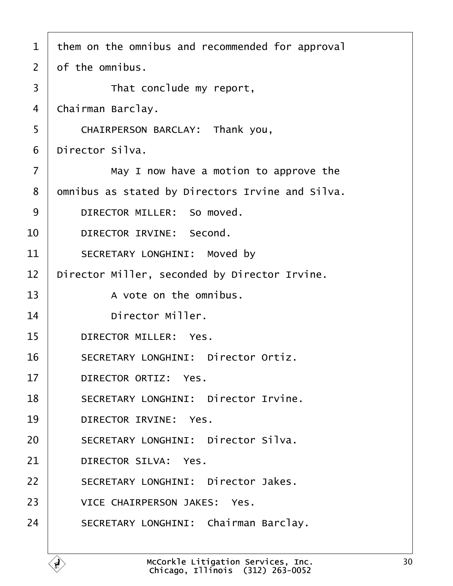<span id="page-29-0"></span>

| $\mathbf{1}$   | them on the omnibus and recommended for approval |
|----------------|--------------------------------------------------|
| $\overline{2}$ | of the omnibus.                                  |
| 3              | That conclude my report,                         |
| 4              | Chairman Barclay.                                |
| 5              | CHAIRPERSON BARCLAY: Thank you,                  |
| 6              | Director Silva.                                  |
| $\overline{7}$ | May I now have a motion to approve the           |
| 8              | omnibus as stated by Directors Irvine and Silva. |
| 9              | DIRECTOR MILLER: So moved.                       |
| 10             | DIRECTOR IRVINE: Second.                         |
| 11             | SECRETARY LONGHINI: Moved by                     |
| 12             | Director Miller, seconded by Director Irvine.    |
| 13             | A vote on the omnibus.                           |
| 14             | Director Miller.                                 |
| 15             | DIRECTOR MILLER: Yes.                            |
| 16             | SECRETARY LONGHINI: Director Ortiz.              |
| 17             | DIRECTOR ORTIZ: Yes.                             |
| 18             | SECRETARY LONGHINI: Director Irvine.             |
| 19             | DIRECTOR IRVINE: Yes.                            |
| 20             | SECRETARY LONGHINI: Director Silva.              |
| 21             | DIRECTOR SILVA: Yes.                             |
| 22             | SECRETARY LONGHINI: Director Jakes.              |
| 23             | VICE CHAIRPERSON JAKES: Yes.                     |
| 24             | SECRETARY LONGHINI: Chairman Barclay.            |
|                |                                                  |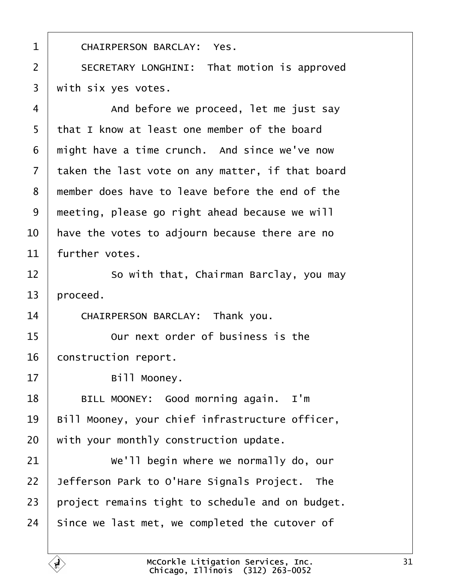<span id="page-30-0"></span>1 | CHAIRPERSON BARCLAY: Yes. 2 | SECRETARY LONGHINI: That motion is approved  $3$   $\mid$  with six yes votes.

4 | And before we proceed, let me just say 5 | that I know at least one member of the board  $\mid$  might have a time crunch. And since we've now  $\vert$  taken the last vote on any matter, if that board 8 | member does have to leave before the end of the  $\mid$  meeting, please go right ahead because we will  $\vert$  have the votes to adjourn because there are no further votes.

12 **8** · So with that, Chairman Barclay, you may  $13$  | proceed.

14 CHAIRPERSON BARCLAY: Thank you.

15 **15** Our next order of business is the 16 | construction report.

17 | Bill Mooney.

18 | BILL MOONEY: Good morning again. I'm  $19$  | Bill Mooney, your chief infrastructure officer,  $20$  with your monthly construction update.

  $\parallel$  we'll begin where we normally do, our Jefferson Park to O'Hare Signals Project. The project remains tight to schedule and on budget. since we last met, we completed the cutover of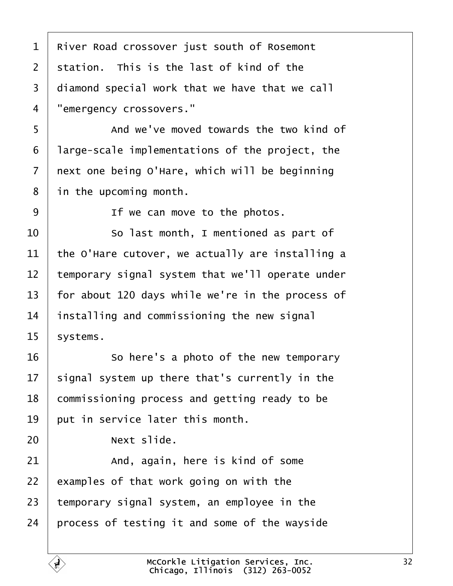2 station. This is the last of kind of the 3 | diamond special work that we have that we call 4 | "emergency crossovers." **I And we've moved towards the two kind of**  | large-scale implementations of the project, the  $\vert$  next one being O'Hare, which will be beginning in the upcoming month. **If we can move to the photos.**   $\begin{matrix} \end{matrix}$   $\begin{matrix} \end{matrix}$   $\begin{matrix} \end{matrix}$   $\begin{matrix} \end{matrix}$   $\begin{matrix} \end{matrix}$   $\begin{matrix} \end{matrix}$   $\begin{matrix} \end{matrix}$   $\begin{matrix} \end{matrix}$   $\begin{matrix} \end{matrix}$   $\begin{matrix} \end{matrix}$   $\begin{matrix} \end{matrix}$   $\begin{matrix} \end{matrix}$   $\begin{matrix} \end{matrix}$   $\begin{matrix} \end{matrix}$   $\begin{matrix} \end{matrix}$   $\begin{matrix} \end{matrix}$   $\begin{matrix} \end$   $\vert$  the O'Hare cutover, we actually are installing a  $\vert$  temporary signal system that we'll operate under  $\vert$  for about 120 days while we're in the process of | installing and commissioning the new signal systems. 16 So here's a photo of the new temporary signal system up there that's currently in the 18 commissioning process and getting ready to be  $\vert$  put in service later this month. **I Next slide.**   $\vert$  and, again, here is kind of some examples of that work going on with the temporary signal system, an employee in the | process of testing it and some of the wayside McCorkle Litigation Services, Inc.

Chicago, Illinois· (312) 263-0052

<span id="page-31-0"></span>River Road crossover just south of Rosemont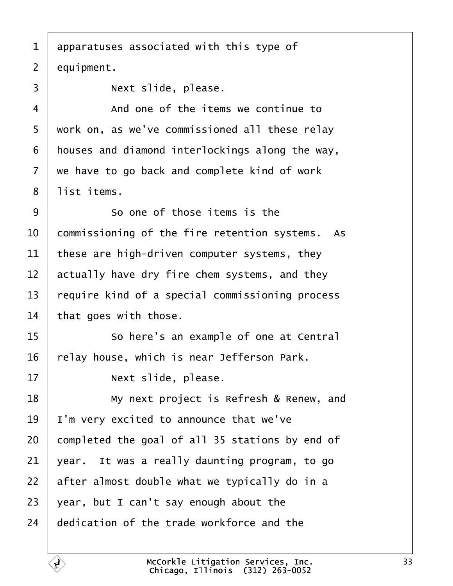<span id="page-32-0"></span>1 | apparatuses associated with this type of  $2$  equipment. ·3· · · · · · Next slide, please. 4 a sample of the items we continue to

5 | work on, as we've commissioned all these relay  $6$  | houses and diamond interlockings along the way,  $7$  we have to go back and complete kind of work 8 | list items.

9 So one of those items is the  $\vert$  commissioning of the fire retention systems. As 11 | these are high-driven computer systems, they actually have dry fire chem systems, and they require kind of a special commissioning process that goes with those.

15 | So here's an example of one at Central  $16$  | relay house, which is near Jefferson Park.

 $17$   $|$  Next slide, please.

**I My next project is Refresh & Renew, and**  | I'm very excited to announce that we've completed the goal of all 35 stations by end of vear. It was a really daunting program, to go | after almost double what we typically do in a 23 vear, but I can't say enough about the dedication of the trade workforce and the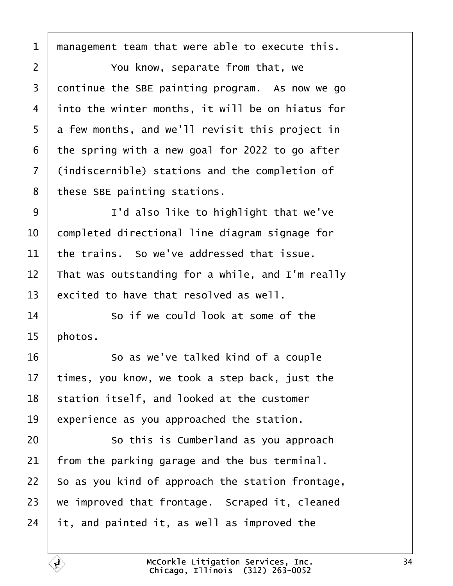<span id="page-33-0"></span>management team that were able to execute this.

**2** You know, separate from that, we continue the SBE painting program. As now we go  $\vert$  into the winter months, it will be on hiatus for  $5 \mid a$  few months, and we'll revisit this project in the spring with a new goal for 2022 to go after 7 (indiscernible) stations and the completion of these SBE painting stations.

9 | I'd also like to highlight that we've 10 | completed directional line diagram signage for the trains. So we've addressed that issue. 12 That was outstanding for a while, and I'm really excited to have that resolved as well.

14 So if we could look at some of the | photos.

16 So as we've talked kind of a couple times, you know, we took a step back, just the station itself, and looked at the customer experience as you approached the station.

**8** 20 So this is Cumberland as you approach from the parking garage and the bus terminal. | So as you kind of approach the station frontage. we improved that frontage. Scraped it, cleaned it, and painted it, as well as improved the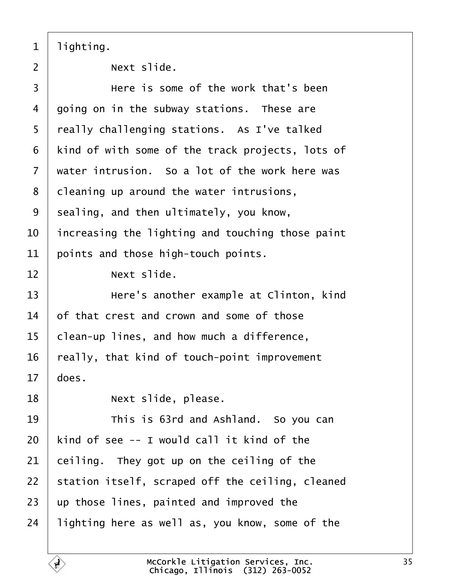<span id="page-34-0"></span>| lighting.

  $|$  Next slide. **I** Bere is some of the work that's been  $\vert$  going on in the subway stations. These are really challenging stations. As I've talked | kind of with some of the track projects, lots of  $\vert$  water intrusion. So a lot of the work here was cleaning up around the water intrusions, sealing, and then ultimately, you know,  $\vert$  increasing the lighting and touching those paint points and those high-touch points. **Next slide. I example** at Clinton, kind of that crest and crown and some of those | clean-up lines, and how much a difference, really, that kind of touch-point improvement does. 18 | **Next slide, please. 19** This is 63rd and Ashland. So you can | kind of see -- I would call it kind of the ceiling. They got up on the ceiling of the station itself, scraped off the ceiling, cleaned up those lines, painted and improved the lighting here as well as, you know, some of the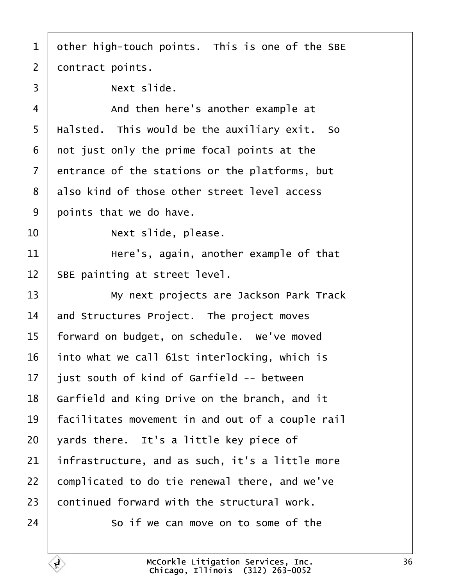<span id="page-35-0"></span> other high-touch points. This is one of the SBE contract points.  $3 \mid$  Next slide. 4 a startup of then here's another example at  $\frac{1}{2}$  | Halsted. This would be the auxiliary exit. So | not just only the prime focal points at the entrance of the stations or the platforms, but 8 also kind of those other street level access | points that we do have.  $|$   $\qquad$   $\qquad$  Next slide, please.  $\parallel$   $11$   $\parallel$   $11$   $\parallel$   $11$   $\parallel$   $11$   $\parallel$   $11$   $\parallel$   $11$   $\parallel$   $11$   $\parallel$   $11$   $\parallel$   $11$   $\parallel$   $11$   $\parallel$   $11$   $\parallel$   $11$   $\parallel$   $11$   $\parallel$   $11$   $\parallel$   $11$   $\parallel$   $11$   $\parallel$   $11$   $\parallel$   $11$   $\parallel$   $11$   $\parallel$   $11$   $\parallel$   $11$   $\parallel$  | SBE painting at street level. 13 | My next projects are Jackson Park Track and Structures Project. The project moves | forward on budget, on schedule. We've moved into what we call 61st interlocking, which is | just south of kind of Garfield -- between | Garfield and King Drive on the branch, and it | facilitates movement in and out of a couple rail | yards there. It's a little key piece of infrastructure, and as such, it's a little more 22 complicated to do tie renewal there, and we've continued forward with the structural work. so if we can move on to some of the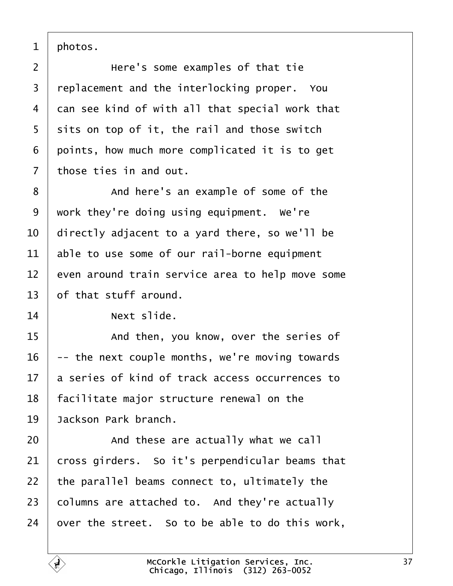<span id="page-36-0"></span>| photos.

2 | **Here's some examples of that tie**  replacement and the interlocking proper. You 4 can see kind of with all that special work that | sits on top of it, the rail and those switch points, how much more complicated it is to get | those ties in and out.

8 and here's an example of some of the work they're doing using equipment. We're  $\vert$  directly adjacent to a yard there, so we'll be able to use some of our rail-borne equipment even around train service area to help move some of that stuff around.

**Next slide.** 

**If then, you know, over the series of**  -- the next couple months, we're moving towards  $17<sup>1</sup>$  a series of kind of track access occurrences to | facilitate major structure renewal on the **Jackson Park branch.** 

**And these are actually what we call**  cross girders. So it's perpendicular beams that | the parallel beams connect to, ultimately the columns are attached to. And they're actually over the street. So to be able to do this work,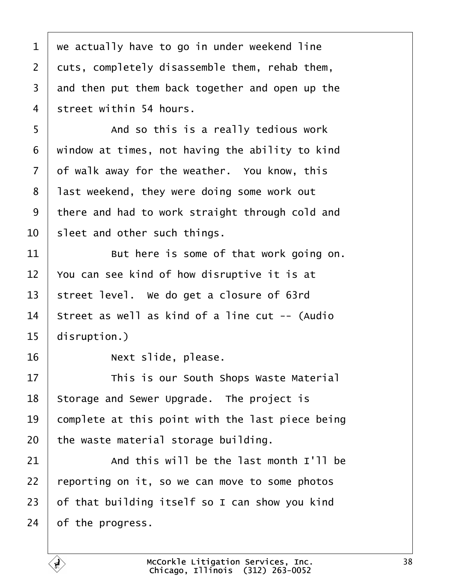<span id="page-37-0"></span> we actually have to go in under weekend line cuts, completely disassemble them, rehab them, and then put them back together and open up the street within 54 hours. 5 | And so this is a really tedious work window at times, not having the ability to kind of walk away for the weather. You know, this | last weekend, they were doing some work out 9 there and had to work straight through cold and sleet and other such things. But here is some of that work going on.  $\vert$  You can see kind of how disruptive it is at 13 | street level. We do get a closure of 63rd | Street as well as kind of a line cut -- (Audio disruption.) 16 | **Next slide, please.** 17· · · · · · This is our South Shops Waste Material Storage and Sewer Upgrade. The project is  $\vert$  complete at this point with the last piece being the waste material storage building.  $\vert$  and this will be the last month I'll be reporting on it, so we can move to some photos of that building itself so I can show you kind of the progress.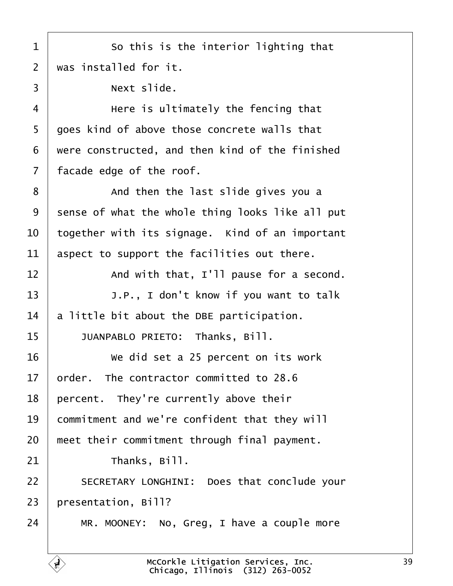<span id="page-38-0"></span>1 **So this is the interior lighting that**  $2 \mid$  was installed for it.  $3 \mid$  Next slide. 4 ere is ultimately the fencing that 5 | goes kind of above those concrete walls that  $6$   $\mid$  were constructed, and then kind of the finished  $7$  | facade edge of the roof. 8 and then the last slide gives you a  $9$  sense of what the whole thing looks like all put  $10$   $\vert$  together with its signage. Kind of an important  $11$  aspect to support the facilities out there.  $12$   $\vert$  and with that, I'll pause for a second. 13 | J.P., I don't know if you want to talk

 $14$  a little bit about the DBE participation.

15 | JUANPABLO PRIETO: Thanks, Bill.

16 We did set a 25 percent on its work order. The contractor committed to 28.6 | percent. They're currently above their 19 commitment and we're confident that they will | meet their commitment through final payment.  $\parallel$  Thanks, Bill. 22 SECRETARY LONGHINI: Does that conclude your | presentation, Bill? | MR. MOONEY: No, Greg, I have a couple more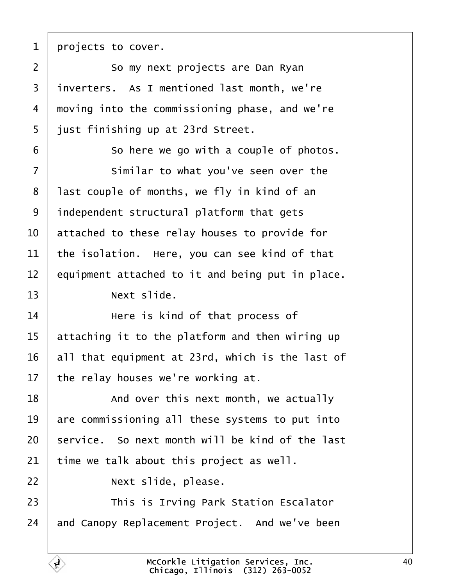<span id="page-39-0"></span>| projects to cover.

2 So my next projects are Dan Ryan inverters. As I mentioned last month, we're 4 moving into the commissioning phase, and we're | just finishing up at 23rd Street.

**So here we go with a couple of photos.** 7 Similar to what you've seen over the | last couple of months, we fly in kind of an | independent structural platform that gets  $\vert$  attached to these relay houses to provide for the isolation. Here, you can see kind of that equipment attached to it and being put in place.

**I Next slide.** 

  $\parallel$  **Here is kind of that process of**  attaching it to the platform and then wiring up all that equipment at 23rd, which is the last of the relay houses we're working at.

18 and over this next month, we actually are commissioning all these systems to put into service. So next month will be kind of the last time we talk about this project as well.

**I Rext slide, please.** 

**This is Irving Park Station Escalator** and Canopy Replacement Project. And we've been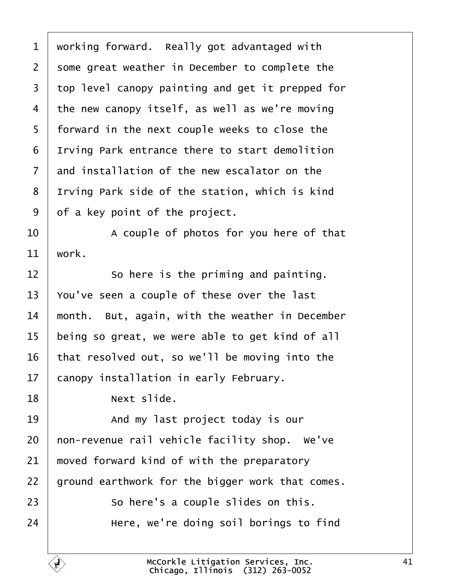<span id="page-40-0"></span> $1$  working forward. Really got advantaged with  $2$  some great weather in December to complete the 3 top level canopy painting and get it prepped for 4 the new canopy itself, as well as we're moving 5 | forward in the next couple weeks to close the 6 I Irving Park entrance there to start demolition  $7$  and installation of the new escalator on the 8 I Irving Park side of the station, which is kind  $9 \mid$  of a key point of the project.

10· · · · · · A couple of photos for you here of that  $11$  work.

 So here is the priming and painting.  $\sqrt{ }$  You've seen a couple of these over the last  $\parallel$  month. But, again, with the weather in December being so great, we were able to get kind of all that resolved out, so we'll be moving into the canopy installation in early February.

18 | Next slide.

19 and my last project today is our  $\vert$  non-revenue rail vehicle facility shop. We've  $\parallel$  moved forward kind of with the preparatory | ground earthwork for the bigger work that comes.  $\vert$  50 here's a couple slides on this. **If all in team** Here, we're doing soil borings to find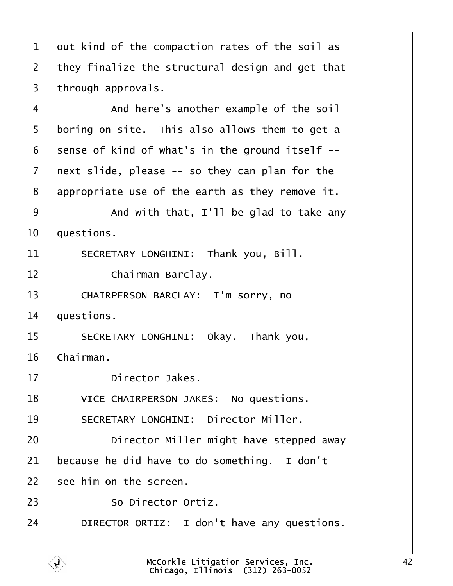<span id="page-41-0"></span> out kind of the compaction rates of the soil as 2 | they finalize the structural design and get that | through approvals. 4 | And here's another example of the soil boring on site. This also allows them to get a sense of kind of what's in the ground itself  $-$ - | next slide, please  $-$  so they can plan for the | appropriate use of the earth as they remove it.  $\vert$  and with that, I'll be glad to take any  $\vert$  questions. 11 SECRETARY LONGHINI: Thank you, Bill. **Chairman Barclay.** 13 CHAIRPERSON BARCLAY: I'm sorry, no | questions. 15 SECRETARY LONGHINI: Okay. Thank you, Chairman. **Director Jakes.** 18 VICE CHAIRPERSON JAKES: No questions. 19 SECRETARY LONGHINI: Director Miller. **Director Miller might have stepped away**  because he did have to do something. I don't  $\pm$  see him on the screen.  $\sim$  So Director Ortiz. **DIRECTOR ORTIZ:** I don't have any questions.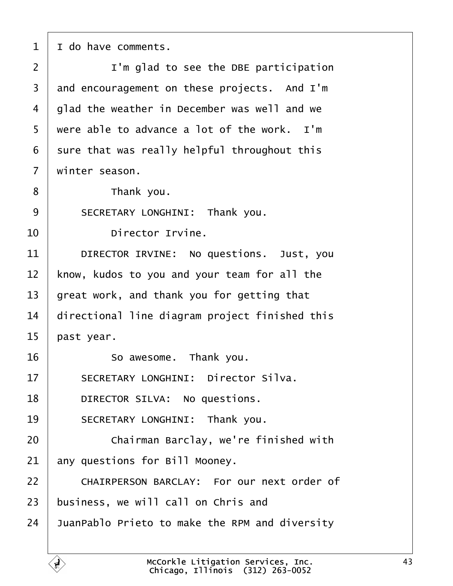<span id="page-42-0"></span> | I do have comments. |  $\blacksquare$   $\blacksquare$   $\blacksquare$   $\blacksquare$   $\blacksquare$  and to see the DBE participation and encouragement on these projects. And I'm | glad the weather in December was well and we  $5 \mid$  were able to advance a lot of the work. I'm sure that was really helpful throughout this  $\mid$  winter season. **b** Thank you. 9 SECRETARY LONGHINI: Thank you.  $\blacksquare$  Director Irvine. 11 DIRECTOR IRVINE: No questions. Just, you  $\vert$  know, kudos to you and your team for all the  $\vert$  great work, and thank you for getting that  $\parallel$  directional line diagram project finished this | past year. **So awesome.** Thank you. 17 SECRETARY LONGHINI: Director Silva. **DIRECTOR SILVA:** No questions. 19 SECRETARY LONGHINI: Thank you. **Chairman Barclay, we're finished with**  any questions for Bill Mooney. 22 CHAIRPERSON BARCLAY: For our next order of  $\vert$  business, we will call on Chris and JuanPablo Prieto to make the RPM and diversity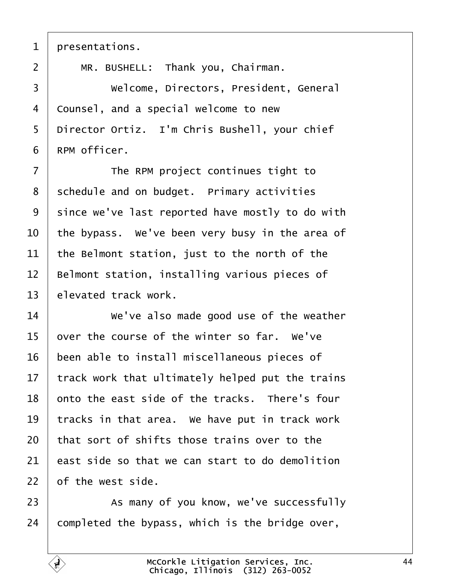<span id="page-43-0"></span>

| presentations.

2 | MR. BUSHELL: Thank you, Chairman.

3 Welcome, Directors, President, General 4 | Counsel, and a special welcome to new 5 | Director Ortiz. I'm Chris Bushell, your chief RPM officer.

7 The RPM project continues tight to schedule and on budget. Primary activities since we've last reported have mostly to do with  $\vert$  the bypass. We've been very busy in the area of the Belmont station, just to the north of the  $\parallel$  Belmont station, installing various pieces of elevated track work.

 **We've also made good use of the weather**  over the course of the winter so far. We've 16 been able to install miscellaneous pieces of | track work that ultimately helped put the trains  $\vert$  onto the east side of the tracks. There's four tracks in that area. We have put in track work that sort of shifts those trains over to the east side so that we can start to do demolition of the west side.

23 As many of you know, we've successfully completed the bypass, which is the bridge over,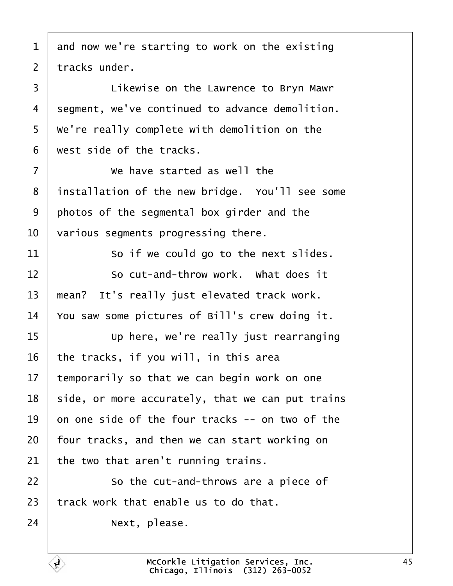<span id="page-44-0"></span> and now we're starting to work on the existing tracks under. 3 | Likewise on the Lawrence to Bryn Mawr 4 | segment, we've continued to advance demolition.  $\mid$  We're really complete with demolition on the west side of the tracks. **I** *We have started as well the* 8 | installation of the new bridge. You'll see some photos of the segmental box girder and the  $\vert$  various segments progressing there. So if we could go to the next slides. so cut-and-throw work. What does it  $\parallel$  mean? It's really just elevated track work.  $\sqrt{ }$  You saw some pictures of Bill's crew doing it. **If the Up here, we're really just rearranging**  the tracks, if you will, in this area temporarily so that we can begin work on one side, or more accurately, that we can put trains  $\vert$  on one side of the four tracks -- on two of the | four tracks, and then we can start working on  $\vert$  the two that aren't running trains. 22 | So the cut-and-throws are a piece of track work that enable us to do that. **Next**, please.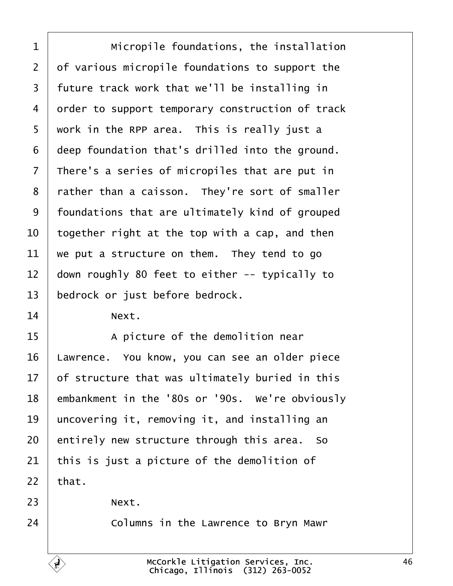<span id="page-45-0"></span>1 | Micropile foundations, the installation  $2$  of various micropile foundations to support the 3 | future track work that we'll be installing in 4 order to support temporary construction of track  $5$   $\mid$  work in the RPP area. This is really just a 6 | deep foundation that's drilled into the ground.  $7$  | There's a series of micropiles that are put in 8 | rather than a caisson. They're sort of smaller  $9$  | foundations that are ultimately kind of grouped  $10$  together right at the top with a cap, and then  $11$  we put a structure on them. They tend to go  $12$  down roughly 80 feet to either -- typically to 13 | bedrock or just before bedrock.

 $14$  Next.

15 A picture of the demolition near 16 | Lawrence. You know, you can see an older piece  $17$  of structure that was ultimately buried in this 18 embankment in the '80s or '90s. We're obviously  $19$  uncovering it, removing it, and installing an  $20$  entirely new structure through this area. So  $21$  this is just a picture of the demolition of  $22$  that.

 $23$  Next.

24 **Columns in the Lawrence to Bryn Mawr**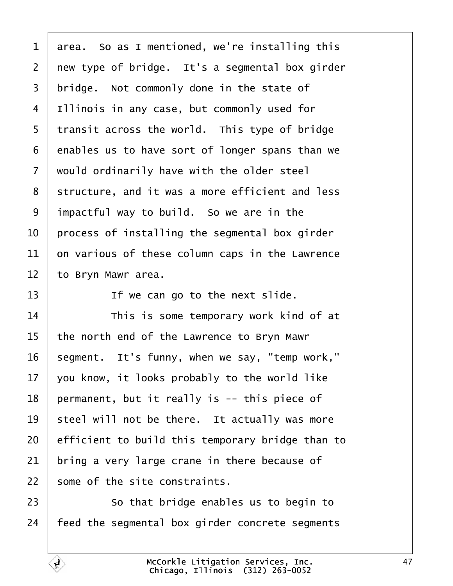<span id="page-46-0"></span> area. So as I mentioned, we're installing this new type of bridge. It's a segmental box girder | bridge. Not commonly done in the state of 4 | Illinois in any case, but commonly used for | transit across the world. This type of bridge enables us to have sort of longer spans than we  $\vert$  would ordinarily have with the older steel 8 | structure, and it was a more efficient and less impactful way to build. So we are in the  $\vert$  process of installing the segmental box girder on various of these column caps in the Lawrence to Bryn Mawr area.

 $\blacksquare$  If we can go to the next slide.

14 This is some temporary work kind of at the north end of the Lawrence to Bryn Mawr segment. It's funny, when we say, "temp work,"  $\vert$  you know, it looks probably to the world like | permanent, but it really is -- this piece of | steel will not be there. It actually was more efficient to build this temporary bridge than to bring a very large crane in there because of some of the site constraints.

**So that bridge enables us to begin to** | feed the segmental box girder concrete segments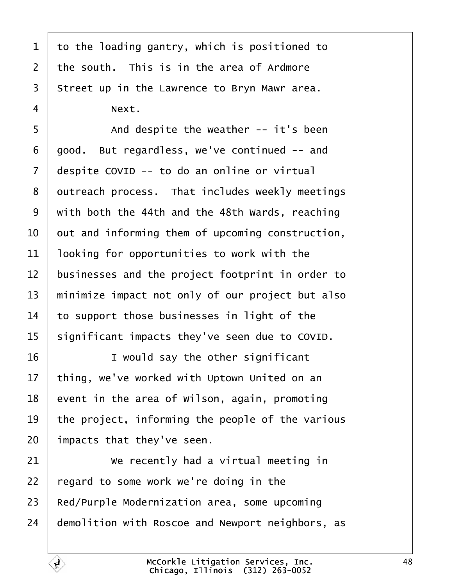| $\overline{3}$ | Street up in the Lawrence to Bryn Mawr area.     |
|----------------|--------------------------------------------------|
| $\overline{4}$ | Next.                                            |
| 5              | And despite the weather -- it's been             |
| 6              | good. But regardless, we've continued -- and     |
| $\overline{7}$ | despite COVID -- to do an online or virtual      |
| 8              | outreach process. That includes weekly meetings  |
| 9              | with both the 44th and the 48th Wards, reaching  |
| 10             | out and informing them of upcoming construction, |
| 11             | looking for opportunities to work with the       |
| 12             | businesses and the project footprint in order to |
| 13             | minimize impact not only of our project but also |
| 14             | to support those businesses in light of the      |
| 15             | significant impacts they've seen due to COVID.   |
| 16             | I would say the other significant                |
| 17             | thing, we've worked with Uptown United on an     |
| 18             | event in the area of Wilson, again, promoting    |
| 19             | the project, informing the people of the various |
| 20             | impacts that they've seen.                       |
| 21             | We recently had a virtual meeting in             |
| 22             | regard to some work we're doing in the           |
| 23             | Red/Purple Modernization area, some upcoming     |
| 24             | demolition with Roscoe and Newport neighbors, as |
|                |                                                  |

<span id="page-47-0"></span>to the loading gantry, which is positioned to

2 | the south. This is in the area of Ardmore

McCorkle Litigation Services, Inc. Chicago, Illinois· (312) 263-0052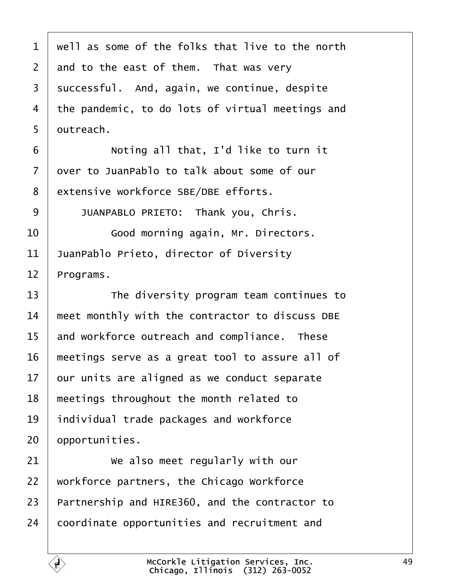<span id="page-48-0"></span>

| $1$   well as some of the folks that live to the north |
|--------------------------------------------------------|
| 2 and to the east of them. That was very               |
| 3   successful. And, again, we continue, despite       |
| 4 the pandemic, to do lots of virtual meetings and     |
| $5$   outreach.                                        |

·6· · · · · · Noting all that, I'd like to turn it  $7$  over to JuanPablo to talk about some of our 8 extensive workforce SBE/DBE efforts.

9 JUANPABLO PRIETO: Thank you, Chris.

10 **I** · · · · · · Good morning again, Mr. Directors.  $11$  JuanPablo Prieto, director of Diversity  $12$  Programs.

13 The diversity program team continues to  $\parallel$  meet monthly with the contractor to discuss DBE and workforce outreach and compliance. These | meetings serve as a great tool to assure all of our units are aligned as we conduct separate | meetings throughout the month related to 19 | individual trade packages and workforce | opportunities.

  $\parallel$  we also meet regularly with our | workforce partners, the Chicago Workforce  $\vert$  Partnership and HIRE360, and the contractor to coordinate opportunities and recruitment and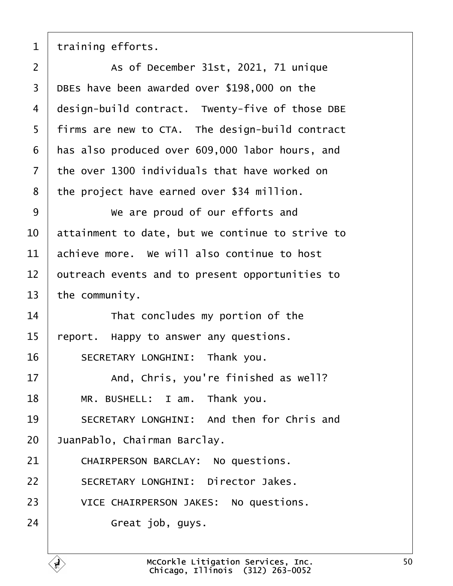<span id="page-49-0"></span>

training efforts.

  $\vert$  as of December 31st, 2021, 71 unique | DBEs have been awarded over \$198,000 on the design-build contract. Twenty-five of those DBE | firms are new to CTA. The design-build contract | has also produced over 609,000 labor hours, and  $\pm$  the over 1300 individuals that have worked on the project have earned over \$34 million.

**We are proud of our efforts and**  attainment to date, but we continue to strive to achieve more. We will also continue to host  $\vert$  outreach events and to present opportunities to the community.

 That concludes my portion of the | report. Happy to answer any questions. 16 SECRETARY LONGHINI: Thank you.

17 and, Chris, you're finished as well? 18 | MR. BUSHELL: I am. Thank you. 19 SECRETARY LONGHINI: And then for Chris and

20 JuanPablo, Chairman Barclay.

21 CHAIRPERSON BARCLAY: No questions.

22 | SECRETARY LONGHINI: Director Jakes.

23 VICE CHAIRPERSON JAKES: No questions.

 $\vert$  Great job, guys.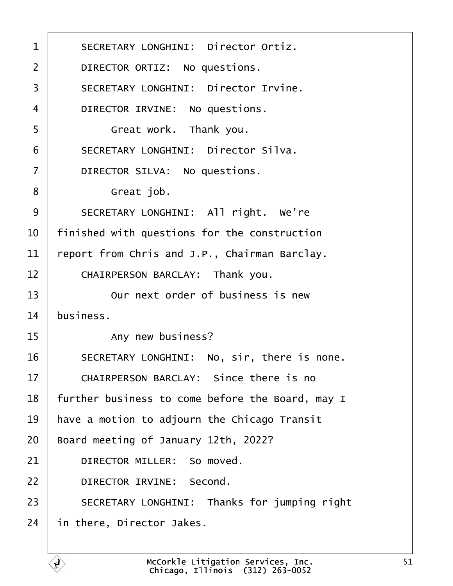1 | SECRETARY LONGHINI: Director Ortiz. 2 **DIRECTOR ORTIZ:** No questions. 3 SECRETARY LONGHINI: Director Irvine. 4 DIRECTOR IRVINE: No questions. ·5· · · · · · Great work.· Thank you. 6 | SECRETARY LONGHINI: Director Silva. 7 DIRECTOR SILVA: No questions. 8 | Great job. 9 SECRETARY LONGHINI: All right. We're  $10$   $\parallel$  finished with questions for the construction  $11$  report from Chris and J.P., Chairman Barclay. 12 CHAIRPERSON BARCLAY: Thank you. 13 **12** Our next order of business is new  $14$  business. 15 | The Supplement Any new business? 16 | SECRETARY LONGHINI: No, sir, there is none. 17 CHAIRPERSON BARCLAY: Since there is no  $18$  | further business to come before the Board, may I  $19$  | have a motion to adjourn the Chicago Transit  $20$  Board meeting of January 12th, 2022? 21 DIRECTOR MILLER: So moved. 22 DIRECTOR IRVINE: Second. 23 SECRETARY LONGHINI: Thanks for jumping right  $24$  in there, Director Jakes.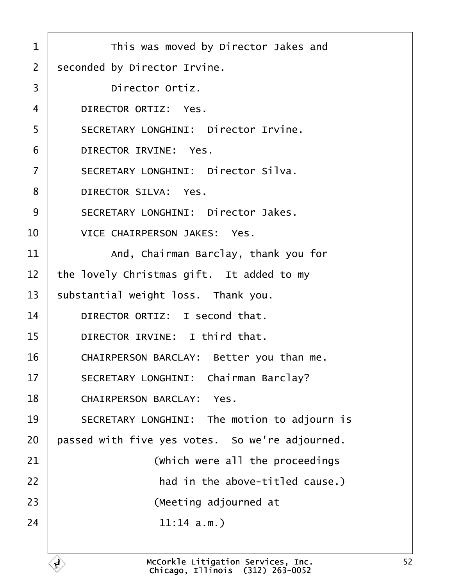| $\mathbf{1}$   | This was moved by Director Jakes and                                   |
|----------------|------------------------------------------------------------------------|
| $\overline{2}$ | seconded by Director Irvine.                                           |
| 3              | Director Ortiz.                                                        |
| 4              | DIRECTOR ORTIZ: Yes.                                                   |
| 5              | SECRETARY LONGHINI: Director Irvine.                                   |
| 6              | DIRECTOR IRVINE: Yes.                                                  |
| $\overline{7}$ | SECRETARY LONGHINI: Director Silva.                                    |
| 8              | DIRECTOR SILVA: Yes.                                                   |
| 9              | SECRETARY LONGHINI: Director Jakes.                                    |
| 10             | VICE CHAIRPERSON JAKES: Yes.                                           |
| 11             | And, Chairman Barclay, thank you for                                   |
| 12             | the lovely Christmas gift. It added to my                              |
| 13             | substantial weight loss. Thank you.                                    |
| 14             | DIRECTOR ORTIZ: I second that.                                         |
| 15             | DIRECTOR IRVINE: I third that.                                         |
| 16             | CHAIRPERSON BARCLAY: Better you than me.                               |
| 17             | SECRETARY LONGHINI: Chairman Barclay?                                  |
| 18             | CHAIRPERSON BARCLAY: Yes.                                              |
| 19             | SECRETARY LONGHINI: The motion to adjourn is                           |
| 20             | passed with five yes votes. So we're adjourned.                        |
| 21             | (which were all the proceedings                                        |
| 22             | had in the above-titled cause.)                                        |
| 23             | (Meeting adjourned at                                                  |
| 24             | 11:14 a.m.                                                             |
|                |                                                                        |
|                | McCorkle Litigation Services, Inc.<br>Chicago. Illinois (312) 263-0052 |

Chicago, Illinois· (312) 263-0052

52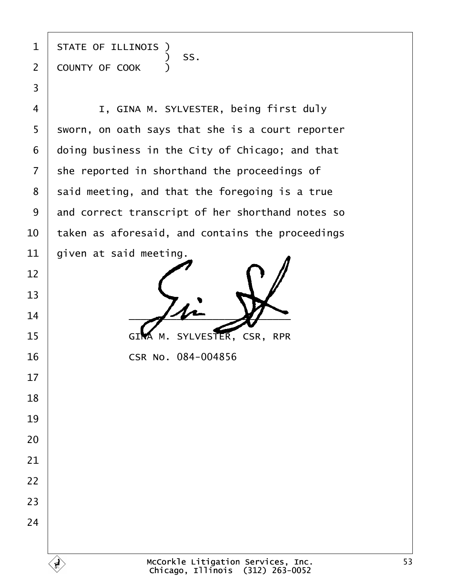state of illinois )  $\begin{array}{|c|c|c|c|c|}\n\hline\n\text{\textend{array}}$   $\begin{array}{c} \text{\textend{array}}$   $\begin{array}{c} \text{\textend{array}}$   $\begin{array}{c} \text{\textend{array}}$   $\begin{array}{c} \text{\textend{array}}$ 2 COUNTY OF COOK )

·3

**I, GINA M. SYLVESTER, being first duly**  sworn, on oath says that she is a court reporter doing business in the City of Chicago; and that she reported in shorthand the proceedings of said meeting, and that the foregoing is a true 9 and correct transcript of her shorthand notes so  $\,$  taken as aforesaid, and contains the proceedings  $\vert$  given at said meeting.

  $-4$ 15 GIMA M. SYLVESTER, CSR, RPR

**CSR No. 084-004856**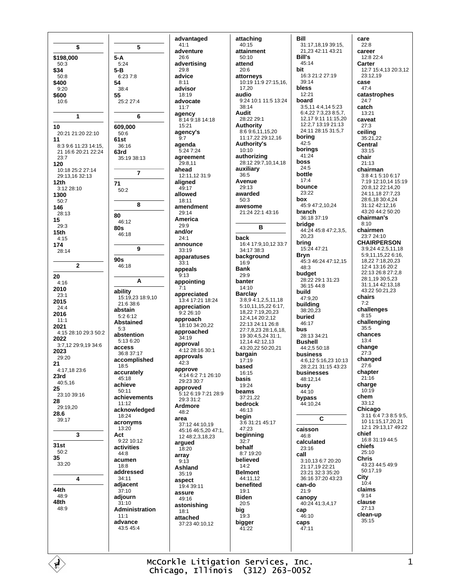\$ \$198,000  $5-A$  $50.3$  $5.24$ \$34  $5 - B$  $50.8$  $6.237.8$ \$400 54  $9.20$  $38.4$ \$600 55 25:2 27:4  $10:6$ 1 10 609,000 20:21 21:20 22:10  $50:6$  $11$  $61st$ 8:3 9:6 11:23 14:15.  $36.16$ 21 16:6 20:21 22:24 63rd 23:7 35:19 38:13 120  $-2$  10:18 25:2 27:14 29:13,16 32:13  $12<sub>th</sub>$  $71$  $3.1228.10$  $50:2$ 1300  $50:7$ 146  $28:13$ 80 15  $46.12$  $29.3$ **80s**  $15<sub>th</sub>$ 46:18  $4:15$ 174 28:14  $90s$  $\overline{2}$ 46:18 20  $4:16$ 2010 ability  $23:1$ 2015 21:6 38:6  $24.4$ abstain 2016  $5.2612$  $11:1$ **Abstained** 2021  $5:3$ 4:15 28:10 29:3 50:2 abstention 2022  $5.136.20$ 3:7,12 29:9,19 34:6 access 2023 36:8 37:17 29:20 accomplished  $21$  $18:5$  $4:17.1823:6$ accurately 23rd  $45.18$ 40:5,16 achieve 25  $50.11$ 23:10 39:16 achievements 28  $11.12$ 29:19,20 acknowledged 28.6 18:24 39:17 acronvms  $13:20$  $\mathbf{\hat{z}}$ Act.  $9.2210.12$  $31st$ activities  $50:2$  $44:8$ 35 acumen 33:20  $18.8$ addressed  $\boldsymbol{\Lambda}$  $34:11$ adjacent 44th  $37.10$ 48:9 adjourn 48th  $31.10$ 48:9 Administration  $11.1$ advance  $43.545.4$ 

ď

advantaged  $41:1$ adventure  $26.6$ advertising  $29.8$ advice  $8:11$ advisor  $18.19$ advocate  $11:7$ agency 8:14 9:18 14:18  $15.21$ agency's  $\overline{Q} \cdot 7$ agenda 5:24 7:24 agreement  $29.811$ ahead 12:11,12 31:9 aligned 49:17 allowed 18:11 amendment 29:14 America  $29:9$ and/or  $24:1$ announce  $33:19$ apparatuses  $33.1$ appeals  $9:13$ appointing  $7.1$ appreciated 15:19.23 18:9.10 13:4 17:21 18:24 appreciation  $9.22610$ approach 18:10 34:20.22 approached  $34:19$ approval 4:12 28:16 30:1 approvals  $42.3$ approve 4:14 6:2 7:1 26:10  $29.23.30.7$ approved  $5.126197.21289$  $29.3.31.2$ Ardmore 48:2 area 37:12 44:10.19 45:16 46:5.20 47:1. 12 48 2 3 18 23 argued  $18:20$ array  $9:13$ Ashland  $35.19$ aspect 19:4 39:11 assure 49:16 astonishing  $18.1$ attached 37:23 40:10.12

5

6

7

8

 $\mathbf{Q}$ 

A

attaching  $40:15$ attainment  $50.10$ attend  $20.6$ attorneys 10:19 11:9 27:15,16, 17 20 audio 9:24 10:1 11:5 13:24  $38:14$ **Audit** 28:22 29:1 **Authority** 8:6 9:6,11,15,20<br>11:17,22 29:12,16 **Authority's**  $10:10$ authorizing  $28:1229:7,10,14,18$ auxiliary  $36:5$ Avenue 29:13 awarded  $50.3$ awesome 21:24 22:1 43:16  $\overline{\mathbf{R}}$ back 16:4 17:9,10,12 33:7 34:17 38:3 background  $16.9$ **Bank**  $29.9$ banter  $14:10$ **Barclay** 3:8.9 4:1.2.5.11.18 5:10,11,15,22 6:17, 18,227:19,20,23 12:4.14 20:2.12 22:13 24:11 26:8 27:7,8,23 28:1,6,18, 19 30:4,5,24 31:1, 12, 14 42: 12, 13 43:20.22 50:20.21 bargain  $17.19$ hased 16:15 basis 19:24 heams  $37:21.22$ bedrock 46:13 begin 3:6 31:21 45:17  $47.23$ beginning  $32:7$ behalf 8:7 19:20 believed  $14.2$ **Belmont** 44:11,12 benefited  $19.1$ **Biden**  $20:5$  $big_{19:3}$ bigger  $41:22$ 

**Rill** 31:17,18,19 39:15, 21.23 42:11 43:21 **Bill's** 45:14 bit 16:3 21:2 27:19 39:14 **hless**  $12.21$ board 3:5,11 4:4,14 5:23 6:4 22 7:3 23 8:5 7 12.17 9:11 11:15.20 12:2,7 13:19 21:13 24:11 28:15 31:5,7 boring  $42.5$ borinas  $41:24$ hoss  $24:5$ bottle  $17:4$ hounce 23:22 box 45:9 47:2,10,24 **hranch** 36:18.37:19 bridge 44:24 45:8 47:2,3,5, 20,23 bring  $15.2447.21$ Bryn 45:3 46:24 47:12.15  $48:3$ budget 28:22 29:1 31:23  $36:1544:8$ build 47:9,20 building 38:20.23 buried 46:17 hus 28:13 34:21 **Bushell** 44:2,5 50:18 business 4:6,12 5:16,23 10:13 28:2 21 31:15 43:23 businesses 48:12.14 busy  $44.10$ bypass 44:10,24  $\mathbf c$ caisson 46:8 calculated  $23.16$ call 3:10,13 6:7 20:20 21:17,19 22:21 23:21 32:3 35:20 36:16 37:20 43:23 can-do  $21.9$ canopy 40:24 41:3,4,17 cap 46:10 caps  $47:11$ 

care  $22:8$ career 12:8 22:4 Carter 12:7 15:4,13 20:3,12 23:12,19 case  $47.4$ catastrophes  $24.7$ catch  $13:21$ caveat  $27.3$ ceiling 35:21.22 **Central** 33:15 chair  $21.13$ chairman 3:8 4:1 5:10 6:17 7:19 12:10,14 15:19 20:8,12 22:14,20 24:11,18 27:7,23 28:6,18 30:4,24 31:12 42:12,16 43:20 44:2 50:20 chairman's  $R \cdot 10$ chairmen 23:7 24:10 **CHAIRPERSON**  $3.9244251118$ 5:9.11.15.22 6:16. 18 22 7:18 20 23  $12.413.1620.2$ 22:13.26:8.27:2.8 28:1,19 30:5,23 31:1 14 42:13 18 43:22 50:21.23 chairs  $7:2$ challenges  $8.15$ challenging  $35:5$ chances  $13.4$ change  $27:3$ changed  $27:6$ chapter  $21:16$ charge  $10:19$ chem  $33:12$ Chicago 3:11 6:4 7:3 8:5 9:5. 10 11:15,17,20,21 12:1 29:13.17 49:22 chief 16:8 31:19 44:5 chiefs  $25.10$ **Chris** 43:23 44:5 49:9 50:17.19 City  $10:4$ claims  $9:14$ clause  $27:13$ clean-up 35:15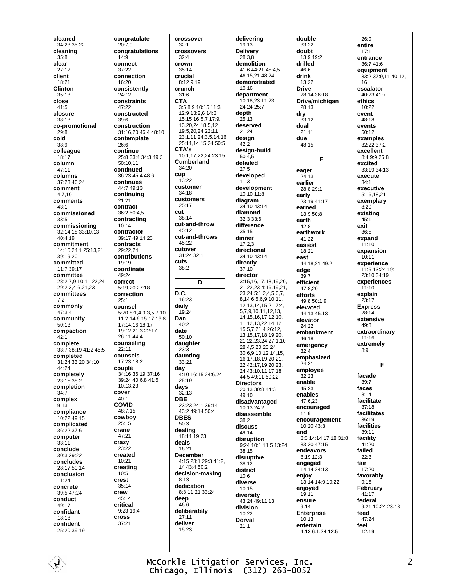cleaned 34:23 35:22 cleaning  $35.8$ clear  $27.12$ client 18:21 **Clinton**  $35.13$ close 41:5 closure 38:13 co-promotional  $29:8$ cold 38:9 colleague 18:17 column  $47.11$ columns 37:23 46:24 comment  $4.710$ comments  $43:1$ commissioned  $33.5$ commissioning 32:14,18 33:10,13 40:4.19 commitment 14:15 24:1 25:13,21  $39.19.20$ committed  $11.7.39.17$ committee 28:2,7,9,10,11,22,24 29:2,3,4,6,21,23 committees  $7:2$ commonly 47:3,4 community  $50:13$ compaction  $42.1$ complete 33:7 38:19 41:2 45:5 completed  $31.24$   $33.20$   $34.10$  $44.24$ completely 23:15 38:2 completion  $34:7$ complex  $9.13$ compliance 10:22 49:15 complicated  $36.22.376$ computer  $33:11$ conclude  $30.339.22$ concludes 28:17 50:14 conclusion 11:24 concrete 39:5 47:24 conduct  $49.17$ confidant 18:18 confident  $25.20.39.19$ 

congratulate  $20:7.9$ congratulations  $14.9$ connect 37:22 connection 16:20 consistently  $24.12$ constraints 47:22 constructed  $39:6$ construction 31:16,20 46:4 48:10 contemplate 26:6 continue 25:8 33:4 34:3 49:3  $50:10.11$ continued 36:23 45:4 48:6 continues 44:7 49:13 continuing 21:21 contract 36:2 50:4.5 contracting  $10:14$ contractor 39:17 49:14,23 contracts 29:22.24 contributions  $19.19$ coordinate 49:24 correct 5:19.20 27:18 correction  $25:1$ counsel 5:20 8:1,4 9:3,5,7,10 11:2 14:6 15:17 16:8 17:14.16 18:17 19:12 21:3 22:17 26:11 44:4 counseling 22:11 counsels  $17.2318.2$ couple 34:16 36:19 37:16 39:24 40:6.8 41:5. 10 13 23 cover  $40:1$ **COVID**  $48.715$ cowboy 25:15 crane 47:21 crazy  $23:22$ created 10:21 creating  $10:5$ crest  $35.14$ crew 45:14 critical  $9.2319.4$ cross  $37:21$ 

crossover  $32:1$ crossovers  $32.4$ crown  $35.14$ crucial 8:12 9:19 crunch  $31.6$ **CTA** 3:5 8:9 10:15 11:3 12:9 13:2,6 14:8 15:15 16:5,7 17:9, 13,20,24 18:5,12 19:5,20,24 22:11 23:1,11 24:3,5,14,16 25:11, 14, 15, 24 50:5 CTA's 10:1,17,22,24 23:15 **Cumberland** 34:20 cun  $13:22$ customer 34:18 customers 25:17  $cut$  $38.14$ cut-and-throw 45:12 cut-and-throws  $45.22$ cutover 31:24 32:11 cuts  $38.2$ D D.C.  $16.23$ daily 19:24 Dan  $40.2$ date  $50:10$ daughter  $23:3$ daunting  $33:21$ day 4:10 16:15 24:6,24 25:19 days  $32:13$ **DBE** 23:23 24:1 39:14 43:2 49:14 50:4 **DRES**  $50:3$ dealing 18:11 19:23 deals 16:21 December 4:15 23:1 29:3 41:2, 14 43:4 50:2 decision-making  $8.13$ dedication 8:8 11:21 33:24 deep  $46:6$ deliberately  $27:11$ deliver  $15:23$ 

delivering 19:13 **Deliverv**  $28:38$ demolition 41:6 44:21 45:4,5 46:15 21 48:24 demonstrated  $10.16$ department  $10.18231123$ 24:24 25:7 depth  $25:13$ deserved  $21:24$ desian  $42:2$ design-build  $50:4.5$ detailed  $27.5$ developed  $11:3$ development  $10.10.11.8$ diagram 34:10 43:14 diamond 32:3 33:6 difference  $35:15$ dinner  $17:2.3$ directional 34:10 43:14 directly  $37:10$ director 3:15,16,17,18,19,20, 21,22,23 4:16,19,21, 23,24 5:1,2,4,5,6,7, 8,14 6:5,6,9,10,11, 12, 13, 14, 15, 21 7:4, 5.7.9.10.11.12.13. 14 15 16 17 12 10 11, 12, 13, 22 14: 12 15:5,7 21:4 26:12. 13.15.17.18.19.20. 21.22.23.24 27:1.10 28:4,5,20,23,24 30:6,9,10,12,14,15, 16, 17, 18, 19, 20, 21, 22 42:17,19,20,23, 24 43:10,11,17,18 44:5 49:11 50:22 **Directors** 20:13.30:8.44:3  $49.10$ disadvantaged 10:13 24:2 disassemble  $38:2$ discuss  $49.14$ disruption 9:24 10:1 11:5 13:24  $38:15$ disruptive  $38.12$ district  $10.6$ diverse 10:15 diversity  $43:24$  49:11.13 division 10:22 Dorval  $21:1$ 

double  $33:22$ doubt  $13.919.2$ drilled  $46.6$ drink 13:22 **Drive** 28:14.36:18 Drive/michigan 28:13 dry  $33:12$ dual 21:11 due 48:15 E eager 24:13 earlier 28:8 29:1 early 23:19 41:17 earned  $13.950.8$ earth  $42.8$ earthwork 41:22 easiest  $18.21$ east 44:18,21 49:2 edge  $39.7$ efficient 47:8,20 efforts  $49.850.19$ elevated 44:13 45:13 elevator 24:22 embankment 46:18 emergency  $32.4$ emphasized 24:21 employee  $32.23$ enable  $45.23$ enables 47:6.23 encouraged  $11.9$ encouragement 10:20 43:3 end 8:3 14:14 17:18 31:8  $33.2047.15$ endeavors 8:19 12:3 engaged 14:14 24:13 enjoy 13:14 14:9 19:22 enjoved  $19:11$ ensure  $9:14$ **Enterprise**  $10.13$ entertain 4:13 6:1,24 12:5

 $26.0$ entire  $17.11$ entrance  $36.7416$ equipment 33:2 37:9,11 40:12, 16 escalator  $40.23417$ ethics 10:22 event 48:18 events 50:12 examples 32:22 37:2 excellent 8:4 9:9 25:8 excited 33:19 34:13 execute  $34:1$ executive  $5:161821$ exemplary  $8:20$ existina  $45.1$ exit  $36.5$ expand  $11:10$ expansion  $10.11$ experience 11:5 13:24 19:1 23:10 34:19 experiences  $11.10$ explain 23:17 **Express**  $28.14$ extensive 49:8 extraordinary 11:16 extremely  $8:9$ F facade  $39.7$ faces  $8:14$ facilitate  $37:18$ facilitates  $36.19$ facilities 39:11 facility  $41:20$ failed  $22:3$ fair 17:20 favorably  $9:15$ February 41:17 federal 9:21 10:24 23:18 feed  $47.24$ feel  $12.19$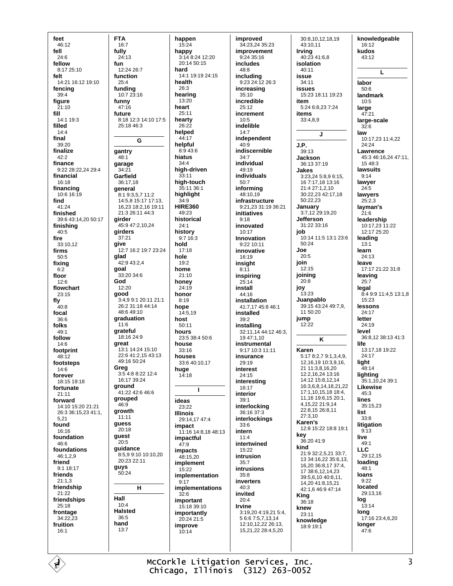feet 46:12 fell  $24.6$ fellow 8:17 25:10 felt 14:21 16:12 19:10 fencing  $39.4$ figure 21:10 fill 14:1 19:3 filled  $14:4$ final 39:20 finalize  $42:2$ finance 9:22 28:22,24 29:4 financial 16:18 financing 10:6 16:19 find 41:24 finished 39:6 43:14.20 50:17 finishing  $40.5$ fire 33:10,12 firms  $50.5$ fixing  $6:2$ floor  $12:6$ flowchart  $23:15$ fly -<br>40:8 focal  $36.6$ folks  $49:1$ follow  $14:6$ footprint  $48.12$ footsteps  $14.6$ forever 18:15 19:18 fortunate  $21:11$ forward 14:10 15:20 21:21 26:3 36:15,23 41:1, 5.21 found  $16.16$ foundation 46:6 foundations  $46.129$ friend 9:1 18:17 friends  $21:1.3$ friendship 21:22 friendships  $25:18$ frontage 34:22.23 fruition  $16:1$ 

É

**FTA**  $16:7$ fully  $24.13$ fun  $12.2426.7$ function  $25:4$ fundina  $10.723.16$ funny 47:16 future 8:18 12:3 14:10 17:5  $25.1846.3$ G gantry  $48.1$ garage  $34:21$ Garfield  $36:17.18$ general 8:1 9:3,5,7 11:2 14:5.8 15:17 17:13. 16,23 18:2,16 19:11 21:3 26:11 44:3 girder 45:9 47:2,10,24 girders 37:21 give 12:7 16:2 19:7 23:24 glad  $42.943.24$ goal  $33.20.34.6$ God 12:20 good 3:4,9 9:1 20:11 21:1 26:2 31:18 44:14  $48.649.10$ graduation  $11.6$ grateful 18:16 24:9 great 13:1 14:24 15:10 22:6 41:2,15 43:13 49:16 50:24 Greg 3:5 4:8 8:22 12:4 16:17 39:24 ground 41:22 42:6 46:6 grouped 46:9 growth  $11:11$ guess  $20.18$ guest  $20.5$ guidance 8:5,9 9:10 10:10,20 20:23 22:11 guys 50:24  $H$ Hall  $10.4$ **Halsted** 36:5 hand  $13:7$ 

happen  $15:24$ happy  $3.148.2412.20$ 20:14 50:15 hard 14:1 19:19 24:15 health  $26.3$ hearing  $13.20$ heart  $25:11$ hearty  $26.22$ helped  $44.17$ helpful 8:9 43:6 hiatus  $34.4$ high-driven  $33:11$ high-touch  $35.11.36.1$ highlight  $34.9$ **HIRE360** 49:23 historical  $24:1$ history  $9:716:3$ hold  $17:18$ hole  $19.2$ home  $21:10$ honey  $24.19$ honor  $8:19$ hope 14:5,19 host  $50.11$ hours 23:5 38:4 50:6 house  $33:16$ houses 33:6 40:10.17 huge  $14:18$  $\mathbf{I}$ ideas  $23:22$ **Illinois** 29:14.17 47:4 impact 11:16 14:8,18 48:13 impactful  $47.9$ impacts 48:15,20 implement  $15:22$ implementation  $9:17$ implementations  $32:6$ important 15:18 39:10 importantly 20:24 21:5 improve  $10.14$ 

improved 34:23,24 35:23 improvement  $9.24.35.16$ includes  $48.8$ including 9:23 24:12 26:3 increasing  $35.10$ incredible 25:12 increment 10:5 indelible  $14:7$ independent  $40:9$ indiscernible  $34:7$ individual  $49.19$ individuals  $50:7$ informing  $48.1019$ infrastructure 9:21,23 31:19 36:21 **initiatives**  $9.18$ innovated  $10.17$ Innovation 9:22 10:11 innovative  $16.19$ insight  $8:11$ inspiring  $25:14$ install  $44.16$ installation 41:7,17 45:8 46:1 installed  $39.2$ installing 32:11,14 44:12 46:3. 19 47:1,10 instrumental 9:17 10:3 11:11 insurance  $29.19$ interest  $24:15$ interesting  $16:17$ interior  $39:1$ interlocking 36:16 37:3 interlockings  $33.6$ intern  $11:4$ intertwined 15:22 intrusion  $35.7$ intrusions  $35.8$ inverters  $40.3$ invited  $20:4$ **Irvine** 3:19.20 4:19.21 5:4. 5 6:6 7:5,7,13,14  $12.10$   $12.22$   $26.13$ 15,21,22 28:4,5,20

30:8,10,12,18,19 43:10,11 **Irvina**  $40:2341:6.8$ isolation  $40.11$ issue 34:11 **issues** 15:23 18:11 19:23 item 5:24 6:8,23 7:24 items 33:4,8,9 J. J.P.  $39.13$ **Jackson** 36:13 37:19 Jakes 3:23,24 5:8,9 6:15, 16 7:17.18 13:16  $21.427.1210$ 30:22,23 42:17,18  $50.22.23$ January 3:7,12 29:19,20 Jefferson 31:22 33:16 job 10:14 11:5 13:1 23:6 50:24 Joe  $20:5$ join  $12.15$ joining  $20:8$ jov  $13:23$ Juanpablo 39:15 43:24 49:7,9, 11 50:20 iump  $12.22$ K Karen 5:17 8:2.7 9:1.3.4.9. 12 16 19 10 3 9 16 21 11:3.8.16.20 12:2,16,24 13:16 14:12 15:8.12.14 16:3,6,8,14,18,21,22 17:1,10,15,18 18:4, 11,16 19:6,15 20:1, 4.15.22 21:9.14 22:8,15 26:8,11 27:3.10 Karen's 12:8 15:22 18:8 19:1 key 36:20 41:9 kind 21:9 32:2,5,21 33:7, 13 34:16,22 35:6,13, 16,20 36:8,17 37:4, 17 38:6.12.14.23 39:5,6,10 40:8,11, 14.20 41:8.15.21 42:1,6 46:9 47:14 **King**  $36:18$ knew 23:11 knowledge 18:9 19:1

knowledgeable 16:12 kudos  $43.12$ L labor  $50.6$ landmark  $10:5$ large  $47.21$ large-scale  $32:6$ law 10:17,23 11:4,22  $24:24$ **Lawrence** 45:3 46:16,24 47:11,  $15.48.3$ lawsuits  $9:14$ lawver  $24.5$ lawyers  $25:2.3$ layman's  $21:6$ leadershin 10:17.23 11:22  $12.1725.20$ leading  $13:1$ learn  $24.13$ leave 17:17 21:22 31:8 leaving  $25:7$ legal 8:4 9:9 11:4,5 13:1,8  $15.23$ lessons  $24:17$ letter  $24.19$ level 36:8,12 38:13 41:3 life 13:17,18 19:22 24:17 light  $48.14$ lighting 35:1,10,24 39:1 Likewise  $45.3$ lines  $35:15.23$ list  $33.8$ litigation  $9:13$ live  $49:1$ **LLC** 29:12.15 loading  $48.1$ loans  $9:22$ located  $29.1316$ log  $13:14$ long  $17:1623:4,6,20$ longer  $47:6$ 

McCorkle Litigation Services, Inc. Chicago, Illinois (312) 263-0052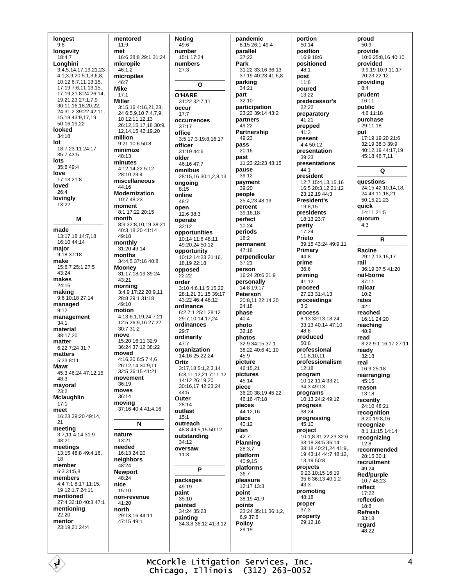longest  $9:6$ longevity  $18.47$ **Longhini** 3:4,5,14,17,19,21,23 4:1,3,9,20 5:1,3,6,8, 10,12 6:7,11,13,15, 17, 19 7: 6, 11, 13, 15, 17,19,21 8:24 26:14, 19,21,23 27:1,7,9 30:11,16,18,20,22, 24 31:2 39:22 42:11, 15,19 43:9,17,19 50:16,19,22 looked 34:18 lot 18:7 23:11 24:17 35:7 43:5 lots  $35.649.4$ love 17:13 21:8 loved  $26.4$ lovingly  $13:22$ M made 13:17,18 14:7,18 16:10 44:14 major  $9:1837:18$ make 15:6,7 25:1 27:5  $43.24$ makes 24:16 making 9:6 10:18 27:14 managed  $9:12$ management  $34:1$ material 38:17,20 matter 6:22 7:24 31:7 matters  $5:23.8:11$ **Mawr** 45:3 46:24 47:12 15 48:3 mayoral  $23:2$ Mclaughlin  $17:1$ meet 16:23 39:20 49:14,  $21$ meetina 3:7,11 4:14 31:9  $48.21$ meetings 13:15 48:8 49:4,16, 18 member  $6:3.31:5.8$ members 4:4 7:1 8:17 11:15, 19 12:1.7 24:11 mentioned 27:4 32:10 40:3 47:1 mentioning  $22.20$ mentor 23:19,21 24:4

mentored  $11:9$ met 16:6 28:8 29:1 31:24 micronile  $46:1.\overline{2}$ micropiles 46:7 **Mike**  $17.1$ **Miller** 3:15,16 4:16,21,23, 24 6:5,9,10 7:4,7,9, 10 12:11, 12, 13 26:12,15,17,18 30:9, 12, 14, 15 42: 19, 20 million  $9.2110.650.8$ minimize 48:13 minutes  $4:12,14,225:12$ 28:10 29:4 miscellaneous  $44.16$ **Modernization** 10:7 48:23 moment  $8:1$  17:22 20:15 month 8:3 32:8,10,19 38:21 40:3,18,20 41:14 49:18 monthly  $31.2049.14$ months 34:4,5 37:16 40:8 **Mooney** 31:17,18,19 39:24 43:21 morning  $3.4917.2220.911$ 28:8 29:1 31:18 49:10 motion 4:13 6:1,19,24 7:21 12:5 26:9,16 27:22 30:7 31:2 move 15:20 16:11 32:9 36:24 37:12 38:22 moved 4:16,20 6:5 7:4,6 26:12,14 30:9,11 32:5 36:15 41:21 movement  $36.19$ moves 36:14 moving 37:16 40:4 41:4.16 N nature  $13.21$ needed 16:13 24:20 neighbors 48:24 **Newport** 48:24 nice  $15:10$ non-revenue  $41.20$ north 29:13,16 44:11 47:15 49:1

**Noting**  $49:6$ number  $15:1$  17 $:24$ numbers  $27.3$  $\Omega$ **O'HARE** 31:22 32:7,11 occur  $17.7$ occurrences  $37.17$ office 3:5 17:3 19:8,16,17 officer  $31.19446$ older 46:16 47:7 omnibus 28:15,16 30:1,2,8,13 ongoing  $8:15$ online  $48:7$ onen  $12.6.38.3$ operate  $32.12$ opportunities  $10:14$  11:6 48:11 49:20,24 50:12 opportunity 10:12 14:23 21:16, 18,19 22:18 opposed  $22.22$ order 3:10 4:6.11 5:15.22 28:1.21.31:15.39:17  $A3.22 A6.4 A8.12$ ordinance 6:2 7:1 25:1 28:12 29:7,10,14,17,24 ordinances  $29.7$ ordinarily  $47.7$ organization 14:16 25:22.24 Ortiz  $3.17$  18 5 1 2 3 14 6:3.11.12.21 7:11.12 14:12 26:19.20 30:16,17 42:23,24  $A \cdot 5$ Outer 28:14 outlast  $15.1$ outreach 48:8 49:5.15 50:12 outstanding  $34.12$ oversaw  $11:3$ P packages 49:19 paint  $35:10$ painted 34:24 35:23 painting<br>34:3,8 36:12 41:3,12

pandemic 8:15 26:1 49:4 parallel  $37.22$ Park 31:22 33:16 36:13 37:19 40:23 41:6,8 parking  $34.21$ part  $32.10$ participation 23:23 39:14 43:2 partners  $49.22$ Partnership  $49.23$ pass  $20.16$ past 11:23 22:23 43:15 pause 39:12 payment  $39.20$ people 25:4,23 48:19 percent 39:16.18 perfect  $10:24$ periods  $18.2$ permanent  $47:18$ perpendicular  $37.21$ person 16:24 20:6 21:9 personally  $14.819.17$ Peterson 20:8,11 22:14,20  $24.18$ phase  $40:4$ photo  $32.16$ photos 32:9 34:15 37:1 38:22 40:6 41:10  $45:9$ picture  $46.1521$ pictures 45:14 piece 36:20 38:19 45:22 46:16 47:18 pieces  $44.1216$ place  $40:12$ plan  $42.7$ Planning 28:3,7 platform 40:9.15 platforms  $36.7$ pleasure 12:17 13:3 point 38:19 41:9 points 23:24 35:11 36:1,2, 6,9 37:6 **Policy**  $29:19$ 

portion  $50:14$ position  $16.9186$ **positioned**  $48.1$ post 11:6 poured  $13.22$ predecessor's 22:22 preparatory 41:21 prepped  $41:3$ present 4:4 50:12 presentation 39:23 presentations  $44.1$ president 12:7 15:4,13,15,16 16:5 20:3,12 21:12 23:12.19 44:3 **President's** 19:8.15 presidents 18:13 23:7 pretty  $17:24$ Prieto 39:15 43:24 49:9,11 Primary 44:8 prime  $36.6$ priming  $41:12$ proceed  $27.23.31.4.13$ proceedings  $3.2$ process 8:13 32:13,18,24 33:13 40:14 47:10  $48.8$ produced  $50.6$ professional 11:8.10.11 professionalism  $12.18$ program 10:12 11:4 33:21 34:3 49:13 programs 10:13 24:2 49:12 progress 38:24 progressing  $45:10$ project  $10.1831.2223326$ 33:18 34:5 36:14 38:18 40:21 24 41:9 19 43:14 44:7 48:12  $13.19.50.8$ projects 9:23 10:15 16:19 35:6 36:13 40:1,2  $43.3$ promoting  $48.18$ proper  $37:3$ property 29:12.16

proud  $50:9$ provide 10:625:81640:10 provided 9:9,19 10:9 11:17  $20.2322.12$ providing  $R \cdot \Delta$ prudent  $16.11$ public 4:6 11:18 purchase  $29:11.18$ put 17:19 19:20 21:6 32:19 38:3 39:9 40:12,19 44:17,19 45:18 46:7,11  $\Omega$ questions 24:15 42:10,14,18, 24 43:11.18.21  $50:15,21,23$ quick 14:11 21:5 quorum  $4:3$ R Racine 29:12,13,15,17 rail 36:19 37:5 41:20 rail-borne  $37:11$ railcar  $10.2$ rates  $42.1$ reached 16:11 24:20 reaching  $48.9$ read 8:22 9:1 16:17 27:11 readv  $32:18$ real  $16:925:18$ rearranging 45:15 reason  $13.18$ recently 24:10 48:21 recognition  $8:20$  19:8.16 recognize 8:1 11:15 14:14 recognizing  $12:8$ recommended 28:15.30:1 recruitment 49:24 Red/purple 10:7 48:23 reflect  $17:22$ reflection 18:8 Refresh  $33:18$ regard 48:22

McCorkle Litigation Services, Inc. Chicago, Illinois (312) 263-0052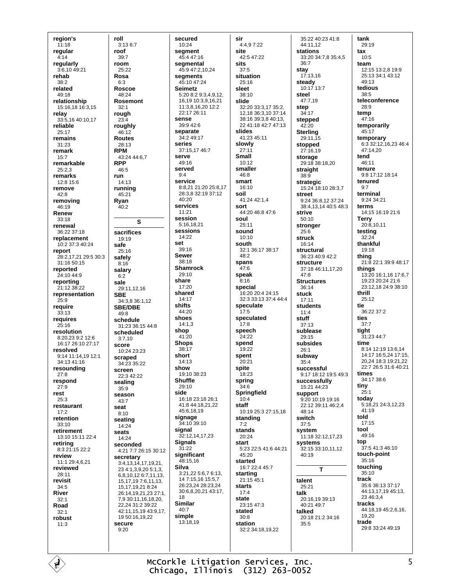region's  $11:18$ regular  $4.14$ regularly 3:6,10 49:21 rehab 38:2 related  $49.18$ relationship 15:16,18 16:3,15 relay 33:5,16 40:10,17 reliable  $25:17$ remains 31:23 remark  $15:7$ remarkable  $25.23$ remarks 12:8 15:6 remove  $A2.8$ removing 46:19 Renew  $33.18$ renewal  $36.2237.18$ replacement 10:2 37:3 40:24 report 28:2.17.21 29:5 30:3  $31.1650.15$ reported 24:10 44:9 reporting 21:12 38:22 representation 25:9 require  $33:13$ reauires  $25:16$ resolution 8:20,23 9:2 12:6 16:17 26:10 27:17 resolved 9:14 11:14.19 12:1  $34.134116$ resounding  $27:8$ respond  $27:9$ rest  $25.3$ restaurant  $17:2$ retention  $33:10$ retirement 13:10 15:11 22:4 retiring 8:3 21:15 22:2 review  $11.1294621$ reviewed  $28:11$ revisit  $34.5$ River  $32.1$ Road  $32.1$ robust  $11.3$ 

É

roll  $3:136:7$ roof  $39.7$ room  $25.22$ Rosa  $6:3$ Roscoe  $48.24$ Rosemont  $32:1$ rough  $23:4$ roughly 46:12 **Routes** 28:13 **RPM** 43:24 44:6.7 **RPP**  $46:5$ run  $14:13$ runnina 45:21 Ryan  $40:2$ S sacrifices 19:19 safe  $25.16$ safely  $8:16$ salary  $6.2$ sale 29:11,12,16 **SBE** 34:3 8 36:1 12 **SBE/DBE**  $49.8$ schedule 31:23 36:15 44:8 scheduled  $3:7.10$ score  $10:2423:23$ scraped 34:23 35:22 screen  $22.342.22$ sealing  $35.9$ season 43:7 seat  $8.10$ seating  $14.24$ seats  $14.24$ seconded 4:21 7:7 26:15 30:12 **secretary**<br>3:4,13,14,17,19,21, 23 4:1, 3, 9, 20 5:1, 3, 681012671113 15.17,19 7:6,11,13, 15 17 19 21 8:24 26:14.19.21.23 27:1. 7 9 30 11 16 18 20 22.24 31:2 39:22 42:11 15 19 43:9 17 19 50:16.19.22 secure  $9:20$ 

secured 10:24 seament  $45.447.16$ segmental 45:9 47:2.10.24 segments 45:10 47:24 **Seimetz**  $5:208:29:34912$ 16 19 10 3 9 16 21 11:3,8,16,20 12:2  $22.1726.11$ sense  $39.9426$ separate 34:2 49:17 series 37:15,17 46:7 serve  $49.16$ served  $9.4$ service 8:8,21 21:20 25:8,17 28:3.8 32:19 37:12  $40.20$ services  $11.21$ session 5:16,18,21 sessions  $14:22$ **SAt**  $30.16$ **Sewer** 38:18 **Shamrock**  $29:10$ share  $17.20$ shared  $14:17$ shifts  $44.20$ shoes  $14:1,3$ shop 41:20 **Shops** 38:17 short  $14.13$ show  $19.10.38.23$ **Shuffle** 29:10 side 16:18 23:18 26:1 41:8 44:18.21.22 45.6.18.19 signage 34:10 39:10 signal 32:12,14,17,23 **Signals**  $31.22$ significant 48:15,16 **Silva** 3:21,22 5:6,7 6:13, 14 7:15.16 15:5.7 26:23 24 28:23 24 30:6.8.20.21 43:17. 18 **Similar** 40:7 simple 13:18.19

sir 4:4,9 7:22 site  $42.547.22$ sits  $37.5$ situation 25:16 sleet  $38.10$ slide 32:20 33:3,17 35:2, 12,18 36:3,10 37:14 38:16 39:3,8 40:13, 22 41:18 42:7 47:13 slides 41:23 45:11 slowly  $27:11$ **Small**  $10:12$ smaller  $46.8$ smart  $16:10$ soil  $41.2442.14$ sort  $44.20468476$ soul  $25:11$ sound  $10:10$ south 32:1 36:17 38:17  $48:2$ spans  $47.6$ speak ์<br>8∙16 special 16:20 20:4 24:15 32:3 33:13 37:4 44:4 sneculate  $17.5$ speculated -<br>17:8 speech .<br>24.22 spend 19:22 spent  $20.21$ spite 18:23 spring .<br>34:6 Springfield  $10:4$ staff 10:19 25:3 27:15,18 standing  $7:2$ stands  $20.24$ start 5:23 22:5 41:6 44:21  $45.20$ started 16:7 22:4 45:7 starting 21:15 45:1 starts  $17:4$ state  $23:1547:3$ stated  $30:8$ station 32:2 34:18,19,22

35:22 40:23 41:8 44:11,12 stations  $33:20$   $34:7$  8  $35:4$  5  $36.7$ stay  $17.1316$ steady  $10:17$  13:7 steel  $47.719$ step 34:17 stepped  $42.20$ **Sterling**  $29:11.\overline{15}$ stopped 27:16,19 storage  $29:1838:1820$ straight  $38:9$ strategic 15:24 18:10 28:3,7 **street** 9:24 36:8 12 37:24 38:4,13,14 40:5 48:3 strive  $50:10$ stronger  $25:6$ struck 16:14 structural 36:23 40:9 42:2 structure 37:18 46:11.17.20  $47:8$ **Structures**  $36.14$ stuck  $17.11$ students  $11:4$ stuff  $37:13$ sublease  $29.15$ subsides  $26:1$ subway  $35.4$ successful 9:17 18:12 19:5 49:3 successfully 15:21 44:23 support  $9:20$  10:19 19:16 22:12.39:11.46:2.4  $48.14$ switch  $37:5$ system  $11.1832.121723$ systems 32:15 33:10.11.12  $40.19$ T talent 25:21 talk 20:16.19 39:13 40:21 49:7 talked 20:18 21:2 34:16  $35.5$ 

tank 29:19 tax  $10:5$ team 12:15 13:2.8 19:9 25:13.34:1.43:12 49:13 tedious  $38:5$ teleconference  $28:9$ temp  $47:16$ temporarily 45:17 temporary 6:3 32:12, 16, 23 46:4 47:14,20 tend  $46:11$ tenure 9:8 17:12 18:14 tenured terminal  $9.24.34.21$ terms 14:15 16:19 21:6 **Terry** 20:8,10,11 testing  $32.24$ thankful 19:18 thing  $21:822:139:948:17$ things 13:20 16:1,16 17:6,7 19:23 20:24 21:6 23:12.18 24:9 38:10 thrill  $25:12$ tie  $36.22.37.2$ ties  $37:7$ tight 31:23 44:7 time 8:14 12:19 13:6,14 14:17 16:5.24 17:15. 20,24 18:3 19:21,22 22:7 26:5 31:6 40:21 times 34:17 38:6 tiny  $25.1$ today<br>5:18,21 24:3,12,23  $41.19$ told  $17:15$ tool 49:16 top 37:5 41:3 46:10 touch-point  $35.16$ touching  $35:10$ track 35:6.36:13.37:17 44:13,17,19 45:13, 23.46.34 tracks 44:18,19 45:2,6,16,  $19.20$ trade 29:8 33:24 49:19

McCorkle Litigation Services, Inc. Chicago, Illinois (312) 263-0052